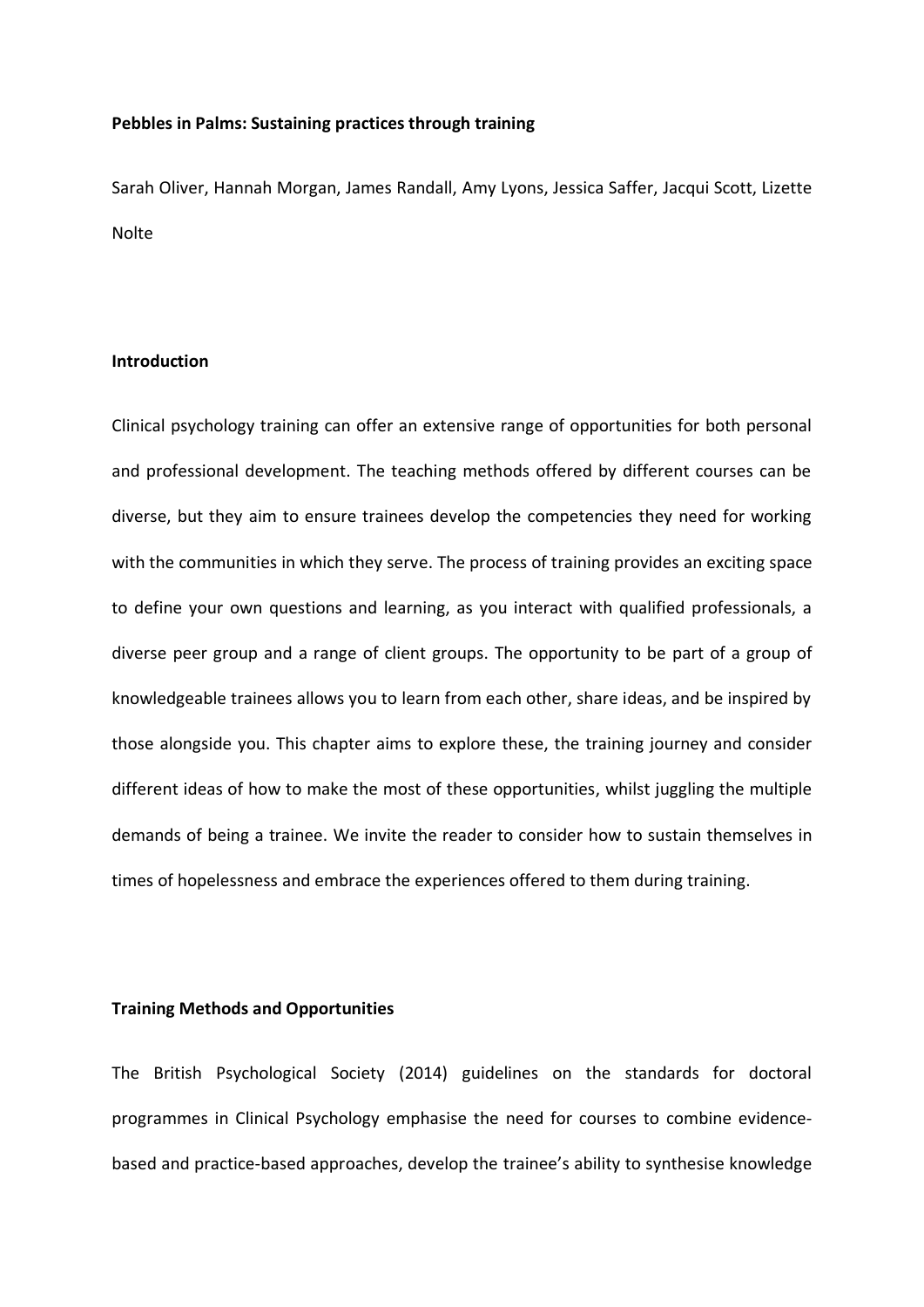## **Pebbles in Palms: Sustaining practices through training**

Sarah Oliver, Hannah Morgan, James Randall, Amy Lyons, Jessica Saffer, Jacqui Scott, Lizette Nolte

#### **Introduction**

Clinical psychology training can offer an extensive range of opportunities for both personal and professional development. The teaching methods offered by different courses can be diverse, but they aim to ensure trainees develop the competencies they need for working with the communities in which they serve. The process of training provides an exciting space to define your own questions and learning, as you interact with qualified professionals, a diverse peer group and a range of client groups. The opportunity to be part of a group of knowledgeable trainees allows you to learn from each other, share ideas, and be inspired by those alongside you. This chapter aims to explore these, the training journey and consider different ideas of how to make the most of these opportunities, whilst juggling the multiple demands of being a trainee. We invite the reader to consider how to sustain themselves in times of hopelessness and embrace the experiences offered to them during training.

## **Training Methods and Opportunities**

The British Psychological Society (2014) guidelines on the standards for doctoral programmes in Clinical Psychology emphasise the need for courses to combine evidencebased and practice-based approaches, develop the trainee's ability to synthesise knowledge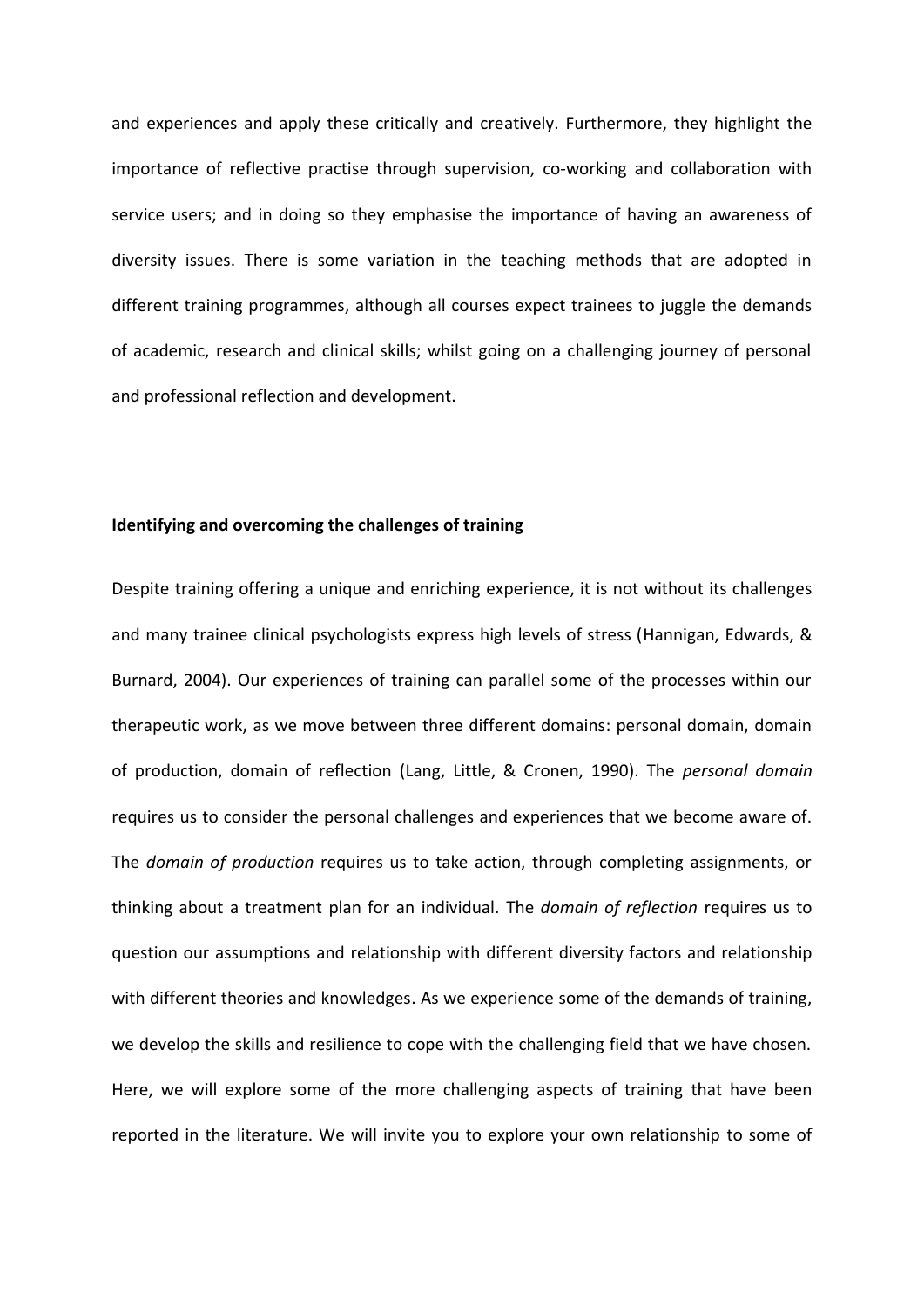and experiences and apply these critically and creatively. Furthermore, they highlight the importance of reflective practise through supervision, co-working and collaboration with service users; and in doing so they emphasise the importance of having an awareness of diversity issues. There is some variation in the teaching methods that are adopted in different training programmes, although all courses expect trainees to juggle the demands of academic, research and clinical skills; whilst going on a challenging journey of personal and professional reflection and development.

## **Identifying and overcoming the challenges of training**

Despite training offering a unique and enriching experience, it is not without its challenges and many trainee clinical psychologists express high levels of stress (Hannigan, Edwards, & Burnard, 2004). Our experiences of training can parallel some of the processes within our therapeutic work, as we move between three different domains: personal domain, domain of production, domain of reflection (Lang, Little, & Cronen, 1990). The *personal domain* requires us to consider the personal challenges and experiences that we become aware of. The *domain of production* requires us to take action, through completing assignments, or thinking about a treatment plan for an individual. The *domain of reflection* requires us to question our assumptions and relationship with different diversity factors and relationship with different theories and knowledges. As we experience some of the demands of training, we develop the skills and resilience to cope with the challenging field that we have chosen. Here, we will explore some of the more challenging aspects of training that have been reported in the literature. We will invite you to explore your own relationship to some of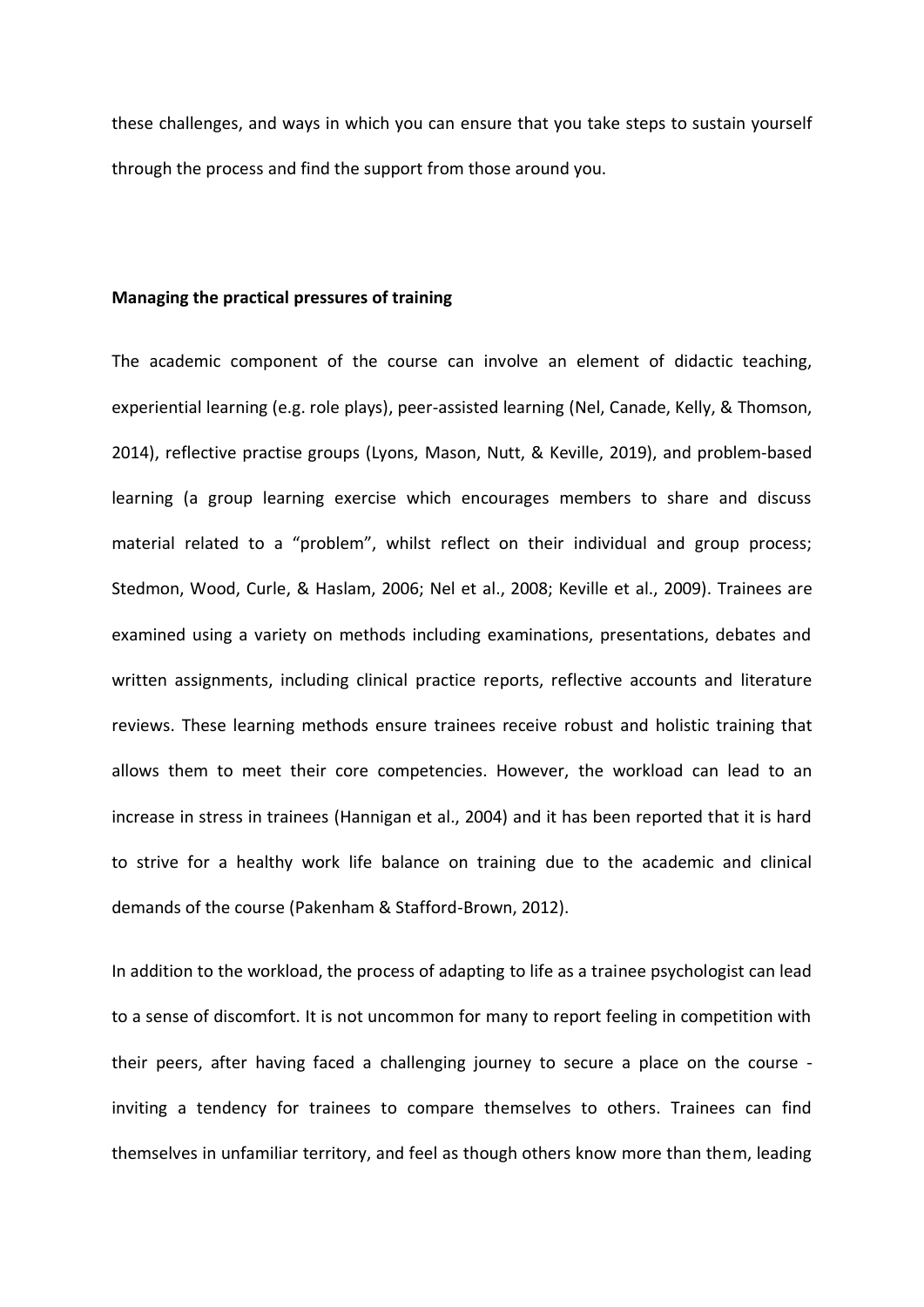these challenges, and ways in which you can ensure that you take steps to sustain yourself through the process and find the support from those around you.

## **Managing the practical pressures of training**

The academic component of the course can involve an element of didactic teaching, experiential learning (e.g. role plays), peer-assisted learning (Nel, Canade, Kelly, & Thomson, 2014), reflective practise groups (Lyons, Mason, Nutt, & Keville, 2019), and problem-based learning (a group learning exercise which encourages members to share and discuss material related to a "problem", whilst reflect on their individual and group process; Stedmon, Wood, Curle, & Haslam, 2006; Nel et al., 2008; Keville et al., 2009). Trainees are examined using a variety on methods including examinations, presentations, debates and written assignments, including clinical practice reports, reflective accounts and literature reviews. These learning methods ensure trainees receive robust and holistic training that allows them to meet their core competencies. However, the workload can lead to an increase in stress in trainees (Hannigan et al., 2004) and it has been reported that it is hard to strive for a healthy work life balance on training due to the academic and clinical demands of the course (Pakenham & Stafford-Brown, 2012).

In addition to the workload, the process of adapting to life as a trainee psychologist can lead to a sense of discomfort. It is not uncommon for many to report feeling in competition with their peers, after having faced a challenging journey to secure a place on the course inviting a tendency for trainees to compare themselves to others. Trainees can find themselves in unfamiliar territory, and feel as though others know more than them, leading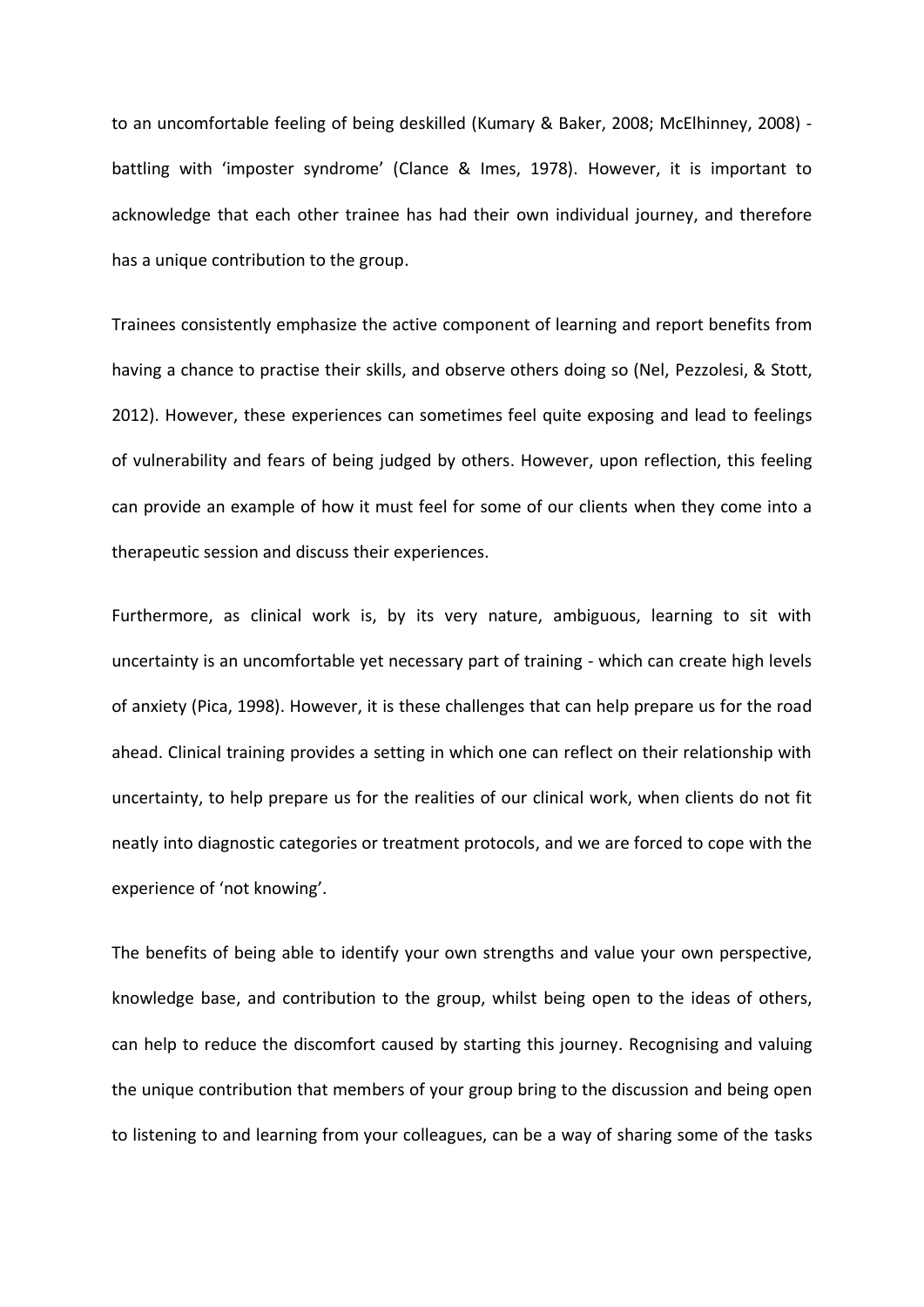to an uncomfortable feeling of being deskilled (Kumary & Baker, 2008; McElhinney, 2008) battling with 'imposter syndrome' (Clance & Imes, 1978). However, it is important to acknowledge that each other trainee has had their own individual journey, and therefore has a unique contribution to the group.

Trainees consistently emphasize the active component of learning and report benefits from having a chance to practise their skills, and observe others doing so (Nel, Pezzolesi, & Stott, 2012). However, these experiences can sometimes feel quite exposing and lead to feelings of vulnerability and fears of being judged by others. However, upon reflection, this feeling can provide an example of how it must feel for some of our clients when they come into a therapeutic session and discuss their experiences.

Furthermore, as clinical work is, by its very nature, ambiguous, learning to sit with uncertainty is an uncomfortable yet necessary part of training - which can create high levels of anxiety (Pica, 1998). However, it is these challenges that can help prepare us for the road ahead. Clinical training provides a setting in which one can reflect on their relationship with uncertainty, to help prepare us for the realities of our clinical work, when clients do not fit neatly into diagnostic categories or treatment protocols, and we are forced to cope with the experience of 'not knowing'.

The benefits of being able to identify your own strengths and value your own perspective, knowledge base, and contribution to the group, whilst being open to the ideas of others, can help to reduce the discomfort caused by starting this journey. Recognising and valuing the unique contribution that members of your group bring to the discussion and being open to listening to and learning from your colleagues, can be a way of sharing some of the tasks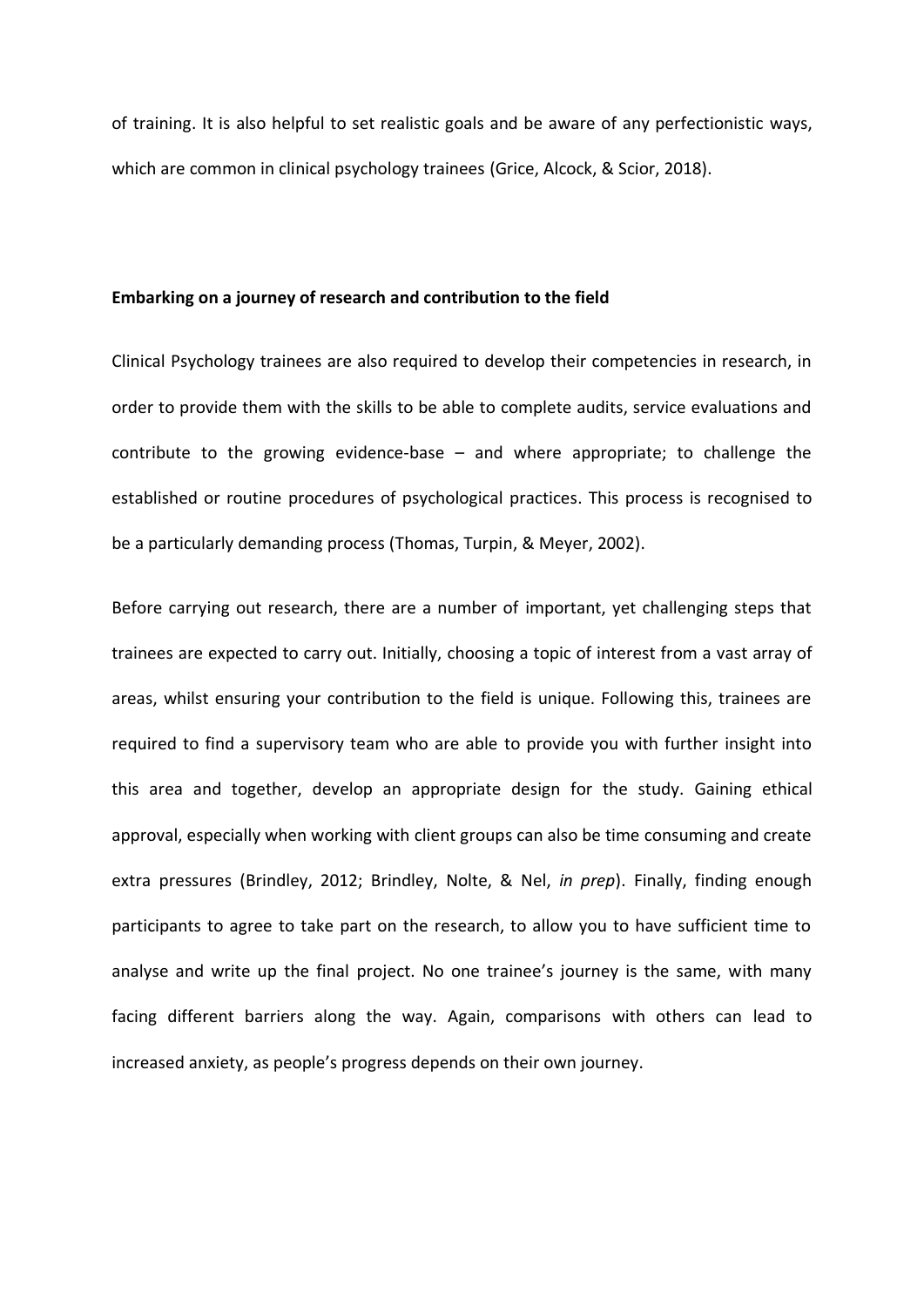of training. It is also helpful to set realistic goals and be aware of any perfectionistic ways, which are common in clinical psychology trainees (Grice, Alcock, & Scior, 2018).

#### **Embarking on a journey of research and contribution to the field**

Clinical Psychology trainees are also required to develop their competencies in research, in order to provide them with the skills to be able to complete audits, service evaluations and contribute to the growing evidence-base – and where appropriate; to challenge the established or routine procedures of psychological practices. This process is recognised to be a particularly demanding process (Thomas, Turpin, & Meyer, 2002).

Before carrying out research, there are a number of important, yet challenging steps that trainees are expected to carry out. Initially, choosing a topic of interest from a vast array of areas, whilst ensuring your contribution to the field is unique. Following this, trainees are required to find a supervisory team who are able to provide you with further insight into this area and together, develop an appropriate design for the study. Gaining ethical approval, especially when working with client groups can also be time consuming and create extra pressures (Brindley, 2012; Brindley, Nolte, & Nel, *in prep*). Finally, finding enough participants to agree to take part on the research, to allow you to have sufficient time to analyse and write up the final project. No one trainee's journey is the same, with many facing different barriers along the way. Again, comparisons with others can lead to increased anxiety, as people's progress depends on their own journey.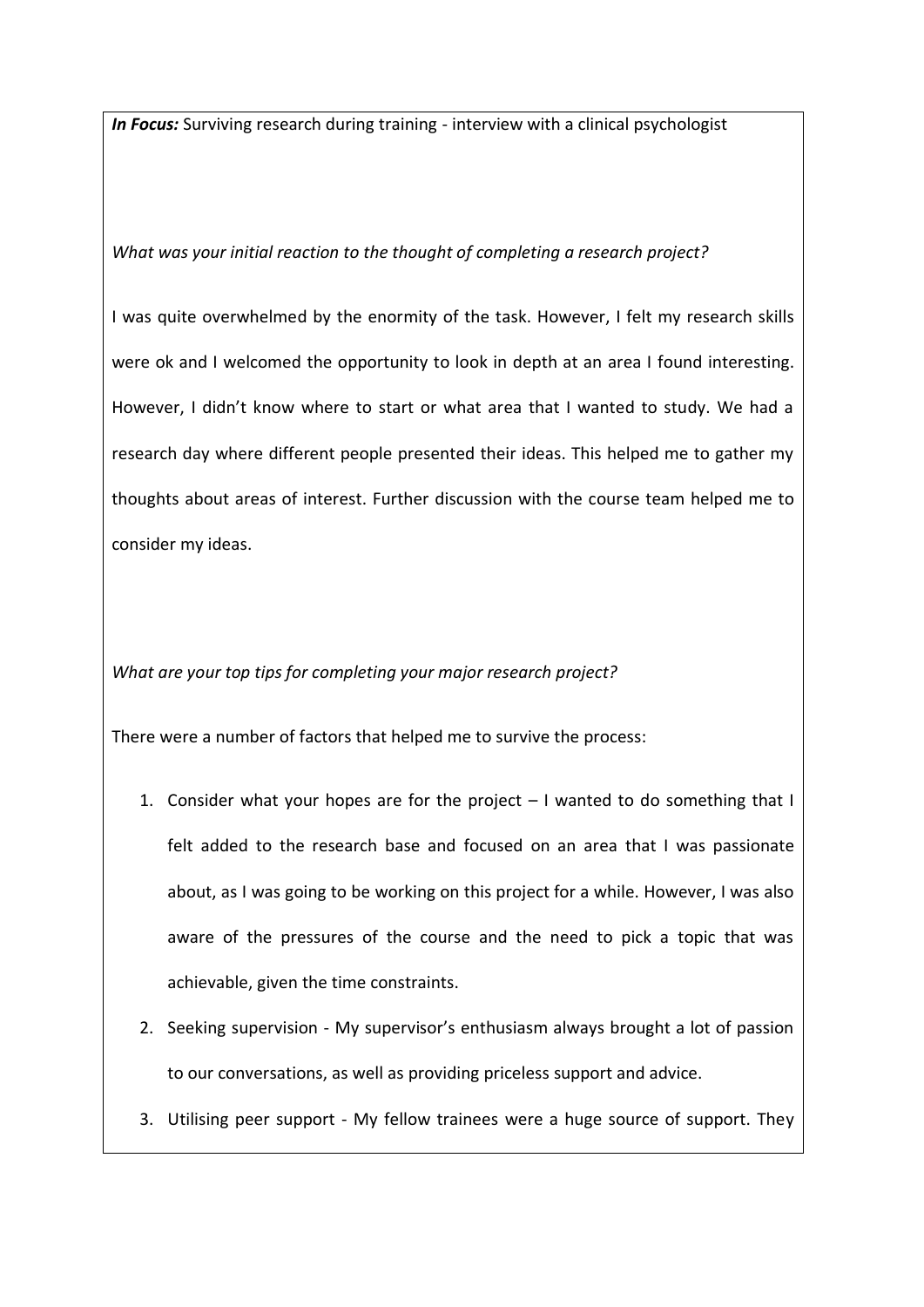*In Focus:* Surviving research during training - interview with a clinical psychologist

# *What was your initial reaction to the thought of completing a research project?*

I was quite overwhelmed by the enormity of the task. However, I felt my research skills were ok and I welcomed the opportunity to look in depth at an area I found interesting. However, I didn't know where to start or what area that I wanted to study. We had a research day where different people presented their ideas. This helped me to gather my thoughts about areas of interest. Further discussion with the course team helped me to consider my ideas.

*What are your top tips for completing your major research project?*

There were a number of factors that helped me to survive the process:

- 1. Consider what your hopes are for the project I wanted to do something that I felt added to the research base and focused on an area that I was passionate about, as I was going to be working on this project for a while. However, I was also aware of the pressures of the course and the need to pick a topic that was achievable, given the time constraints.
- 2. Seeking supervision My supervisor's enthusiasm always brought a lot of passion to our conversations, as well as providing priceless support and advice.
- 3. Utilising peer support My fellow trainees were a huge source of support. They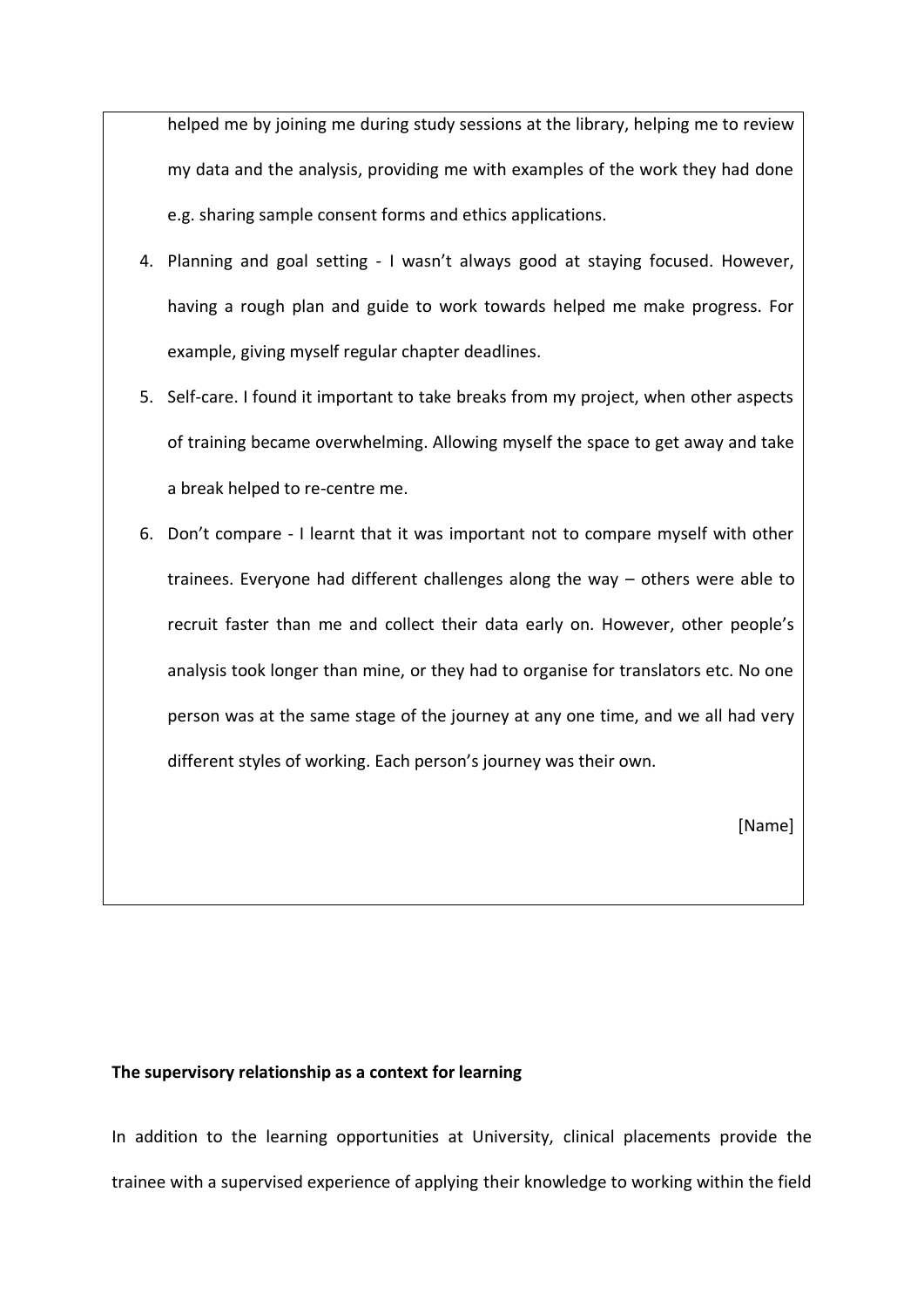helped me by joining me during study sessions at the library, helping me to review my data and the analysis, providing me with examples of the work they had done e.g. sharing sample consent forms and ethics applications.

- 4. Planning and goal setting I wasn't always good at staying focused. However, having a rough plan and guide to work towards helped me make progress. For example, giving myself regular chapter deadlines.
- 5. Self-care. I found it important to take breaks from my project, when other aspects of training became overwhelming. Allowing myself the space to get away and take a break helped to re-centre me.
- 6. Don't compare I learnt that it was important not to compare myself with other trainees. Everyone had different challenges along the way – others were able to recruit faster than me and collect their data early on. However, other people's analysis took longer than mine, or they had to organise for translators etc. No one person was at the same stage of the journey at any one time, and we all had very different styles of working. Each person's journey was their own.

[Name]

# **The supervisory relationship as a context for learning**

In addition to the learning opportunities at University, clinical placements provide the trainee with a supervised experience of applying their knowledge to working within the field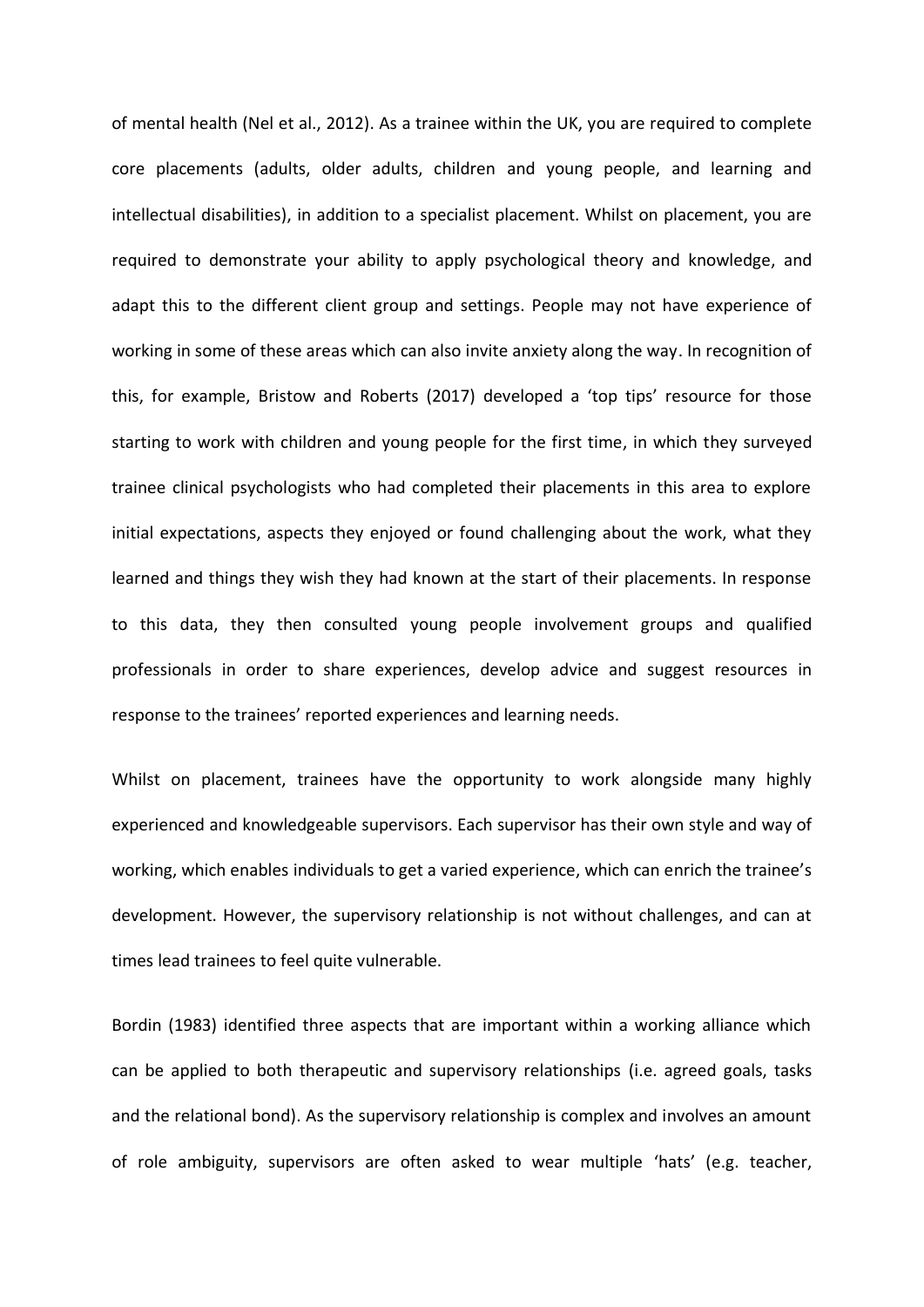of mental health (Nel et al., 2012). As a trainee within the UK, you are required to complete core placements (adults, older adults, children and young people, and learning and intellectual disabilities), in addition to a specialist placement. Whilst on placement, you are required to demonstrate your ability to apply psychological theory and knowledge, and adapt this to the different client group and settings. People may not have experience of working in some of these areas which can also invite anxiety along the way. In recognition of this, for example, Bristow and Roberts (2017) developed a 'top tips' resource for those starting to work with children and young people for the first time, in which they surveyed trainee clinical psychologists who had completed their placements in this area to explore initial expectations, aspects they enjoyed or found challenging about the work, what they learned and things they wish they had known at the start of their placements. In response to this data, they then consulted young people involvement groups and qualified professionals in order to share experiences, develop advice and suggest resources in response to the trainees' reported experiences and learning needs.

Whilst on placement, trainees have the opportunity to work alongside many highly experienced and knowledgeable supervisors. Each supervisor has their own style and way of working, which enables individuals to get a varied experience, which can enrich the trainee's development. However, the supervisory relationship is not without challenges, and can at times lead trainees to feel quite vulnerable.

Bordin (1983) identified three aspects that are important within a working alliance which can be applied to both therapeutic and supervisory relationships (i.e. agreed goals, tasks and the relational bond). As the supervisory relationship is complex and involves an amount of role ambiguity, supervisors are often asked to wear multiple 'hats' (e.g. teacher,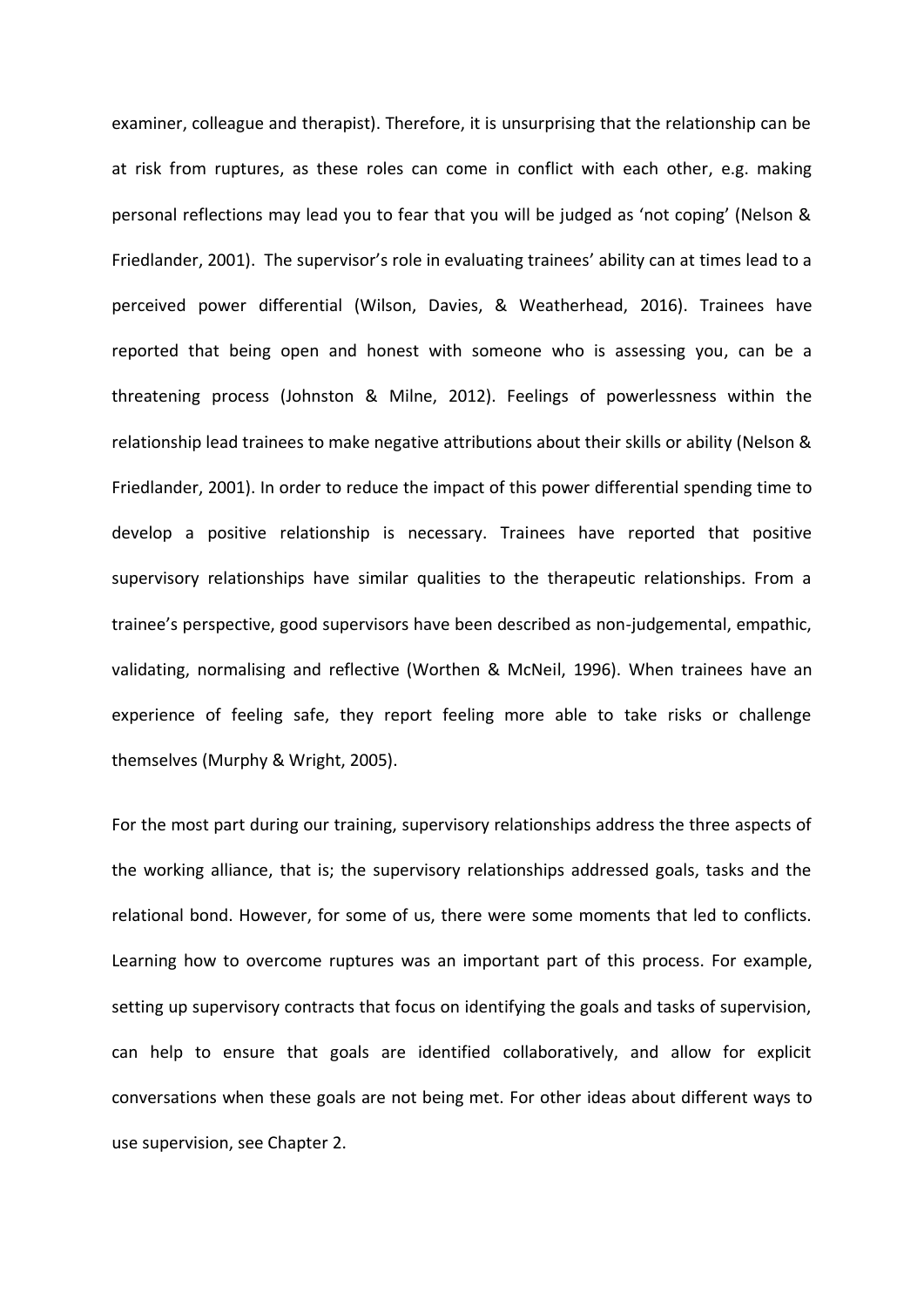examiner, colleague and therapist). Therefore, it is unsurprising that the relationship can be at risk from ruptures, as these roles can come in conflict with each other, e.g. making personal reflections may lead you to fear that you will be judged as 'not coping' (Nelson & Friedlander, 2001). The supervisor's role in evaluating trainees' ability can at times lead to a perceived power differential (Wilson, Davies, & Weatherhead, 2016). Trainees have reported that being open and honest with someone who is assessing you, can be a threatening process (Johnston & Milne, 2012). Feelings of powerlessness within the relationship lead trainees to make negative attributions about their skills or ability (Nelson & Friedlander, 2001). In order to reduce the impact of this power differential spending time to develop a positive relationship is necessary. Trainees have reported that positive supervisory relationships have similar qualities to the therapeutic relationships. From a trainee's perspective, good supervisors have been described as non-judgemental, empathic, validating, normalising and reflective (Worthen & McNeil, 1996). When trainees have an experience of feeling safe, they report feeling more able to take risks or challenge themselves (Murphy & Wright, 2005).

For the most part during our training, supervisory relationships address the three aspects of the working alliance, that is; the supervisory relationships addressed goals, tasks and the relational bond. However, for some of us, there were some moments that led to conflicts. Learning how to overcome ruptures was an important part of this process. For example, setting up supervisory contracts that focus on identifying the goals and tasks of supervision, can help to ensure that goals are identified collaboratively, and allow for explicit conversations when these goals are not being met. For other ideas about different ways to use supervision, see Chapter 2.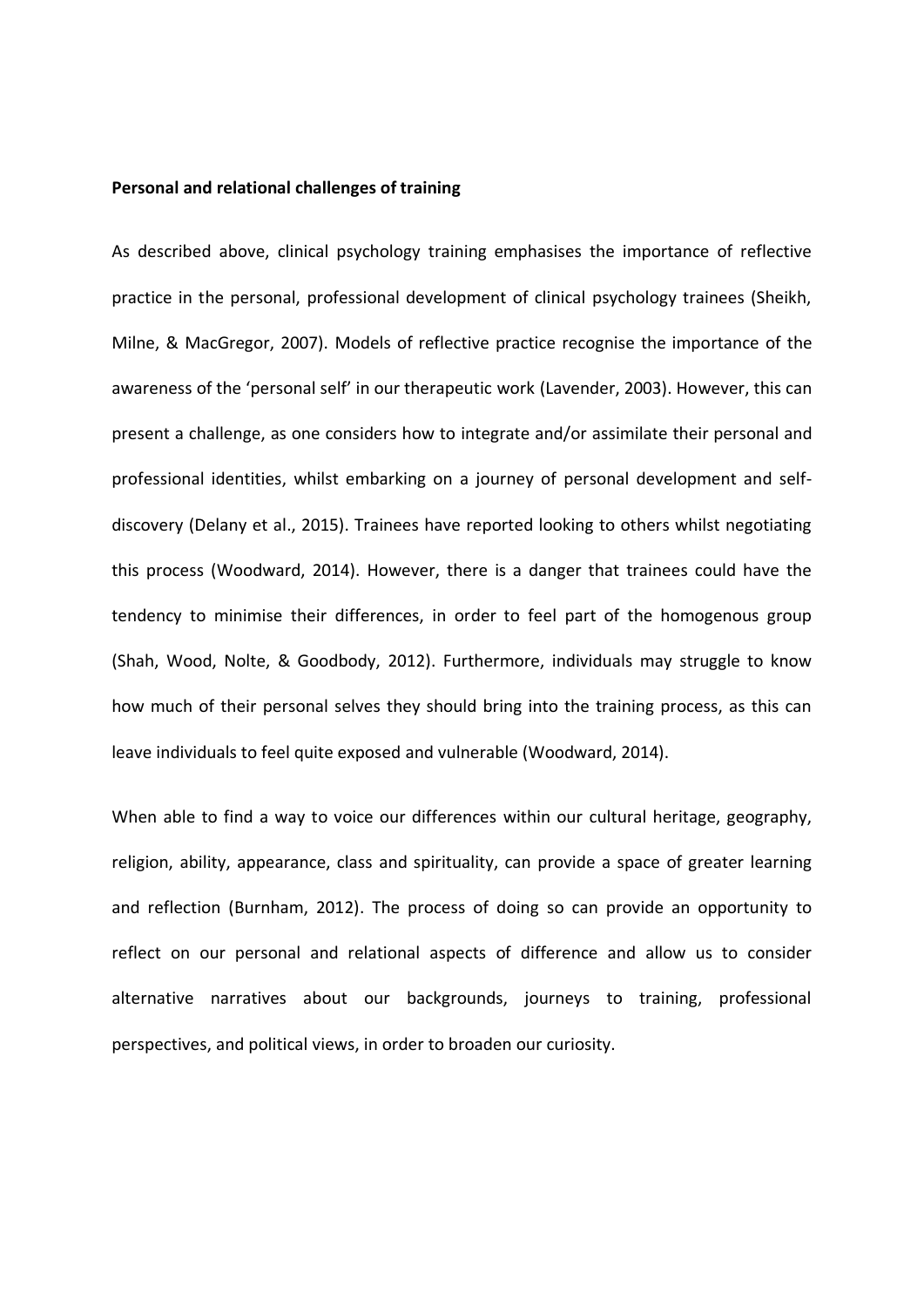#### **Personal and relational challenges of training**

As described above, clinical psychology training emphasises the importance of reflective practice in the personal, professional development of clinical psychology trainees (Sheikh, Milne, & MacGregor, 2007). Models of reflective practice recognise the importance of the awareness of the 'personal self' in our therapeutic work (Lavender, 2003). However, this can present a challenge, as one considers how to integrate and/or assimilate their personal and professional identities, whilst embarking on a journey of personal development and selfdiscovery (Delany et al., 2015). Trainees have reported looking to others whilst negotiating this process (Woodward, 2014). However, there is a danger that trainees could have the tendency to minimise their differences, in order to feel part of the homogenous group (Shah, Wood, Nolte, & Goodbody, 2012). Furthermore, individuals may struggle to know how much of their personal selves they should bring into the training process, as this can leave individuals to feel quite exposed and vulnerable (Woodward, 2014).

When able to find a way to voice our differences within our cultural heritage, geography, religion, ability, appearance, class and spirituality, can provide a space of greater learning and reflection (Burnham, 2012). The process of doing so can provide an opportunity to reflect on our personal and relational aspects of difference and allow us to consider alternative narratives about our backgrounds, journeys to training, professional perspectives, and political views, in order to broaden our curiosity.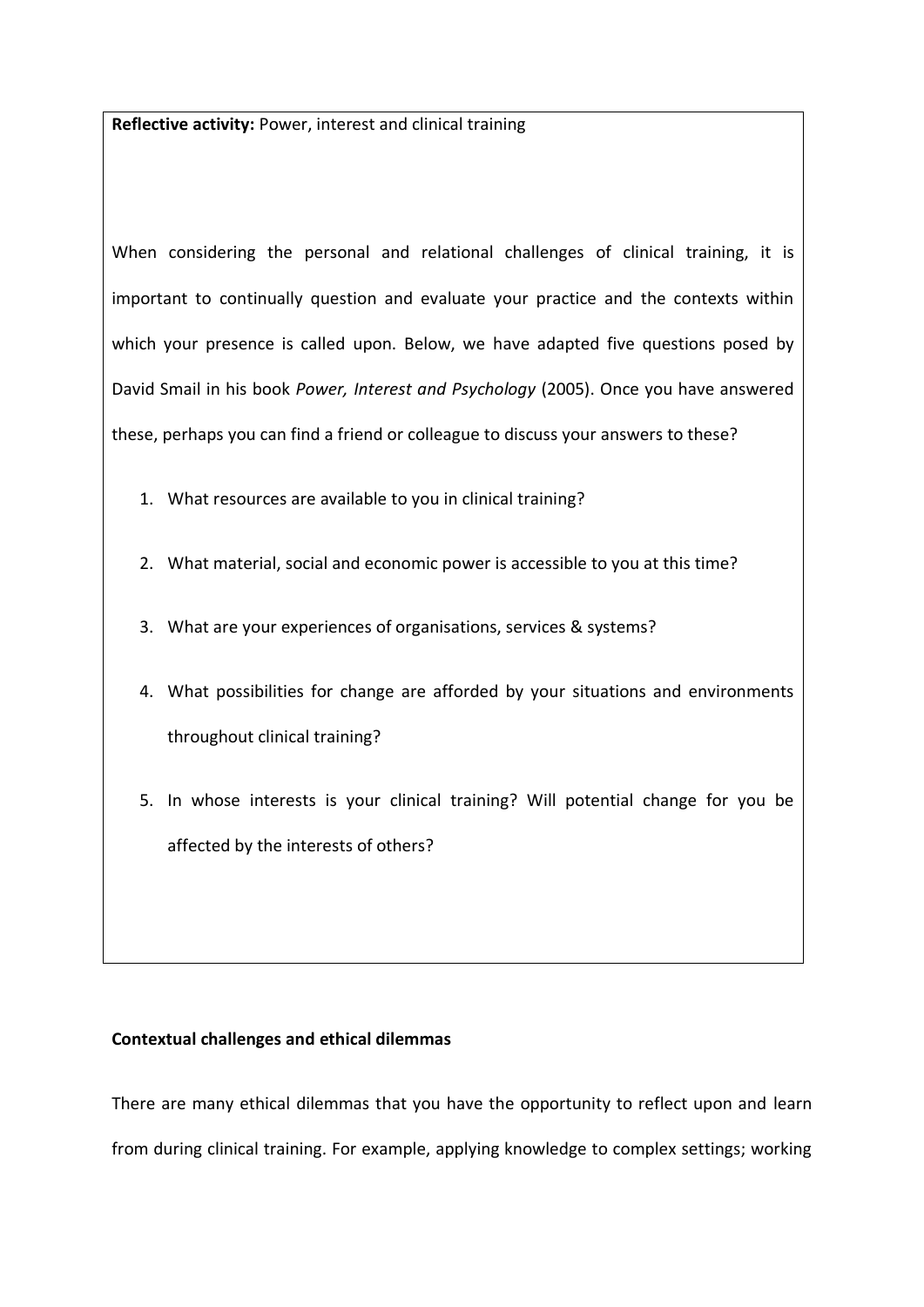**Reflective activity:** Power, interest and clinical training

When considering the personal and relational challenges of clinical training, it is important to continually question and evaluate your practice and the contexts within which your presence is called upon. Below, we have adapted five questions posed by David Smail in his book *Power, Interest and Psychology* (2005). Once you have answered these, perhaps you can find a friend or colleague to discuss your answers to these?

- 1. What resources are available to you in clinical training?
- 2. What material, social and economic power is accessible to you at this time?
- 3. What are your experiences of organisations, services & systems?
- 4. What possibilities for change are afforded by your situations and environments throughout clinical training?
- 5. In whose interests is your clinical training? Will potential change for you be affected by the interests of others?

# **Contextual challenges and ethical dilemmas**

There are many ethical dilemmas that you have the opportunity to reflect upon and learn from during clinical training. For example, applying knowledge to complex settings; working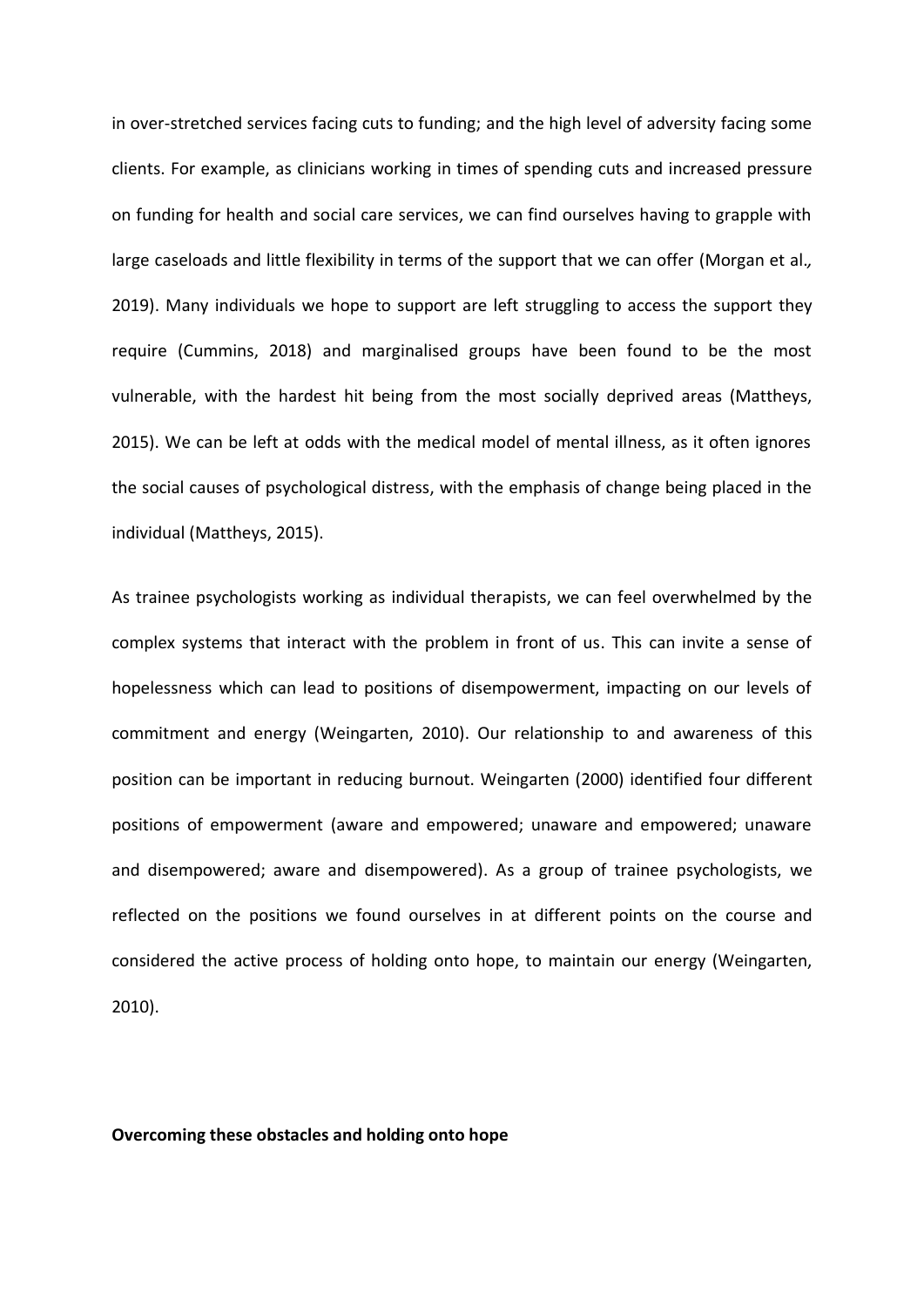in over-stretched services facing cuts to funding; and the high level of adversity facing some clients. For example, as clinicians working in times of spending cuts and increased pressure on funding for health and social care services, we can find ourselves having to grapple with large caseloads and little flexibility in terms of the support that we can offer (Morgan et al.*,* 2019). Many individuals we hope to support are left struggling to access the support they require (Cummins, 2018) and marginalised groups have been found to be the most vulnerable, with the hardest hit being from the most socially deprived areas (Mattheys, 2015). We can be left at odds with the medical model of mental illness, as it often ignores the social causes of psychological distress, with the emphasis of change being placed in the individual (Mattheys, 2015).

As trainee psychologists working as individual therapists, we can feel overwhelmed by the complex systems that interact with the problem in front of us. This can invite a sense of hopelessness which can lead to positions of disempowerment, impacting on our levels of commitment and energy (Weingarten, 2010). Our relationship to and awareness of this position can be important in reducing burnout. Weingarten (2000) identified four different positions of empowerment (aware and empowered; unaware and empowered; unaware and disempowered; aware and disempowered). As a group of trainee psychologists, we reflected on the positions we found ourselves in at different points on the course and considered the active process of holding onto hope, to maintain our energy (Weingarten, 2010).

## **Overcoming these obstacles and holding onto hope**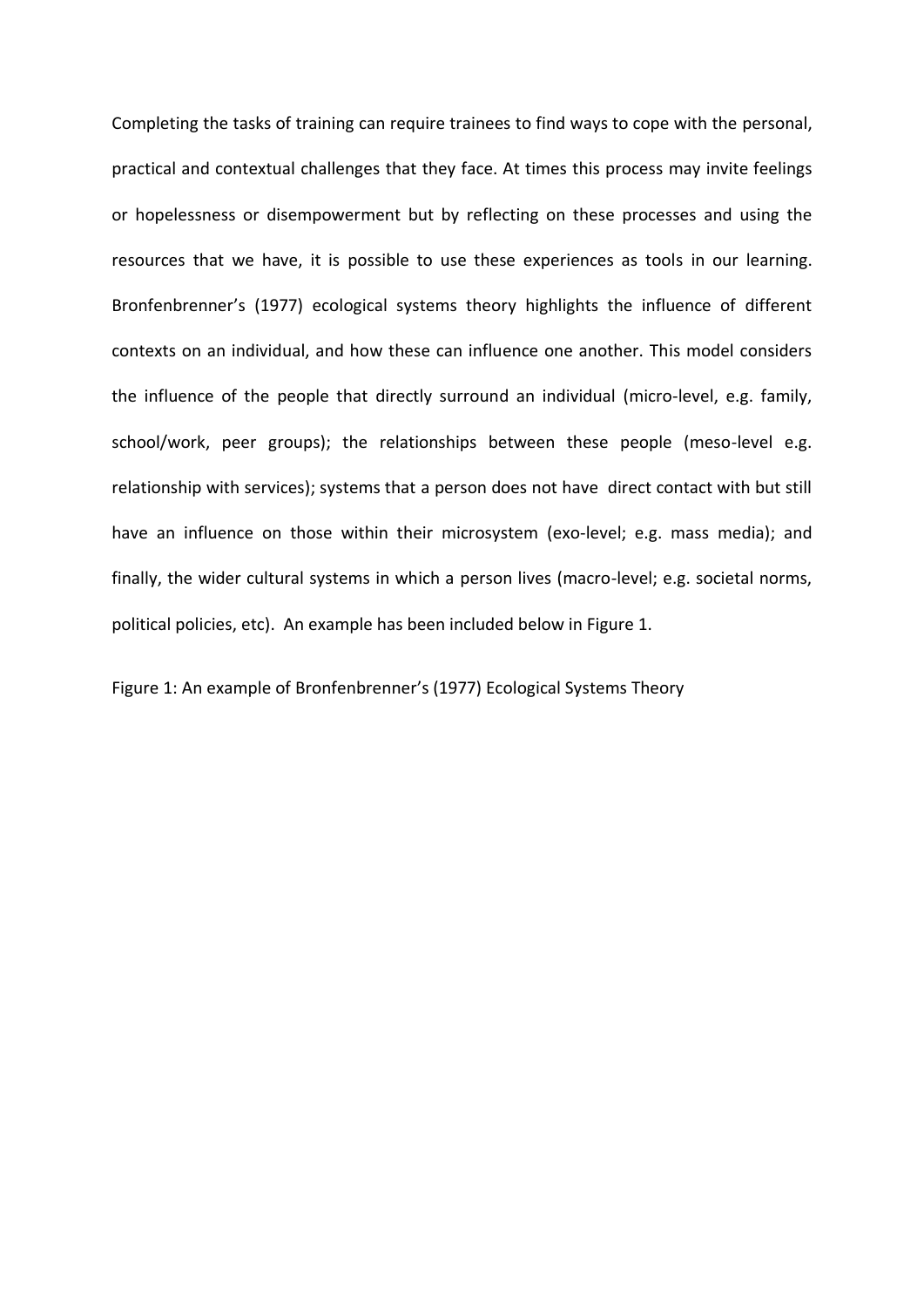Completing the tasks of training can require trainees to find ways to cope with the personal, practical and contextual challenges that they face. At times this process may invite feelings or hopelessness or disempowerment but by reflecting on these processes and using the resources that we have, it is possible to use these experiences as tools in our learning. Bronfenbrenner's (1977) ecological systems theory highlights the influence of different contexts on an individual, and how these can influence one another. This model considers the influence of the people that directly surround an individual (micro-level, e.g. family, school/work, peer groups); the relationships between these people (meso-level e.g. relationship with services); systems that a person does not have direct contact with but still have an influence on those within their microsystem (exo-level; e.g. mass media); and finally, the wider cultural systems in which a person lives (macro-level; e.g. societal norms, political policies, etc). An example has been included below in Figure 1.

Figure 1: An example of Bronfenbrenner's (1977) Ecological Systems Theory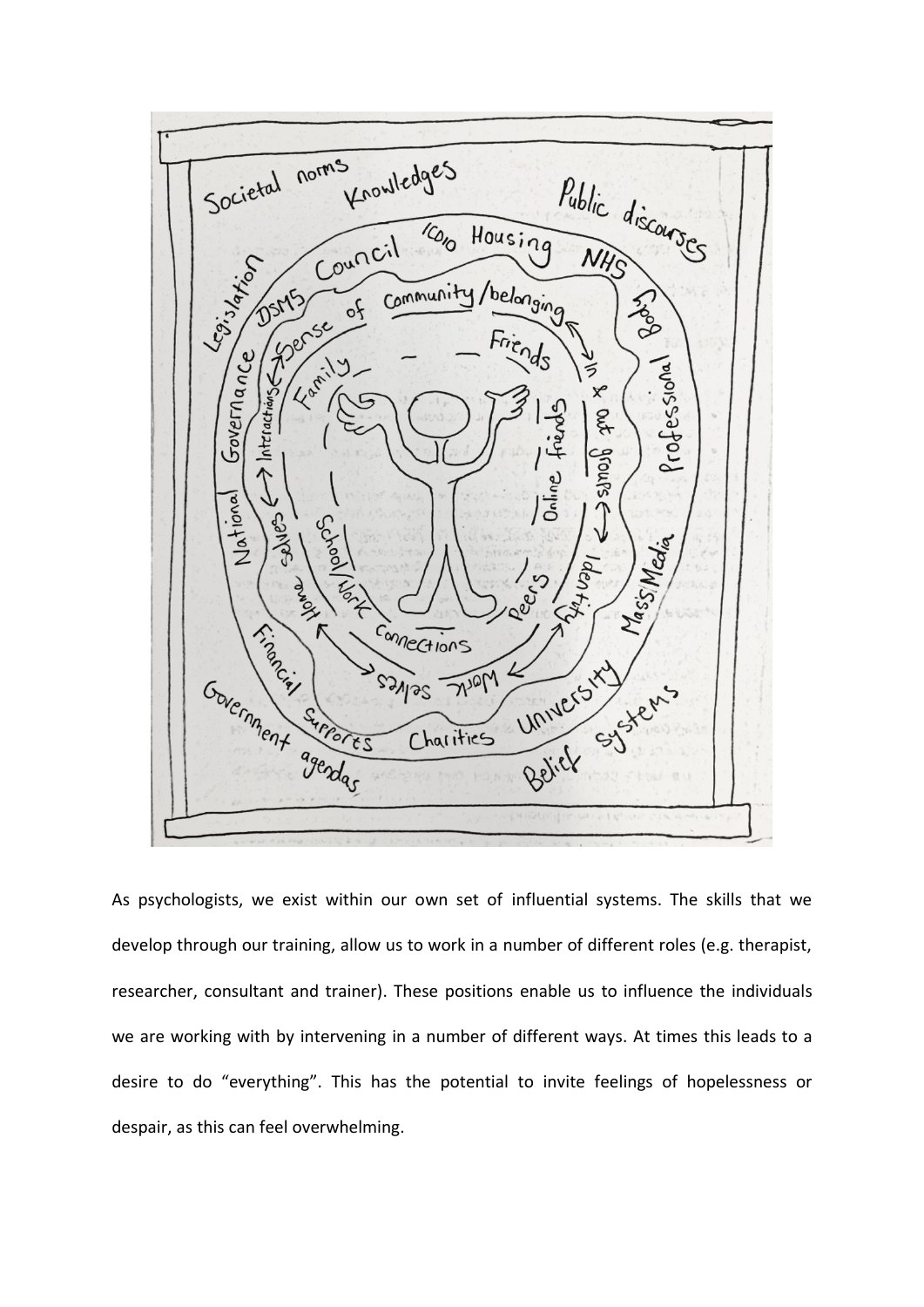

As psychologists, we exist within our own set of influential systems. The skills that we develop through our training, allow us to work in a number of different roles (e.g. therapist, researcher, consultant and trainer). These positions enable us to influence the individuals we are working with by intervening in a number of different ways. At times this leads to a desire to do "everything". This has the potential to invite feelings of hopelessness or despair, as this can feel overwhelming.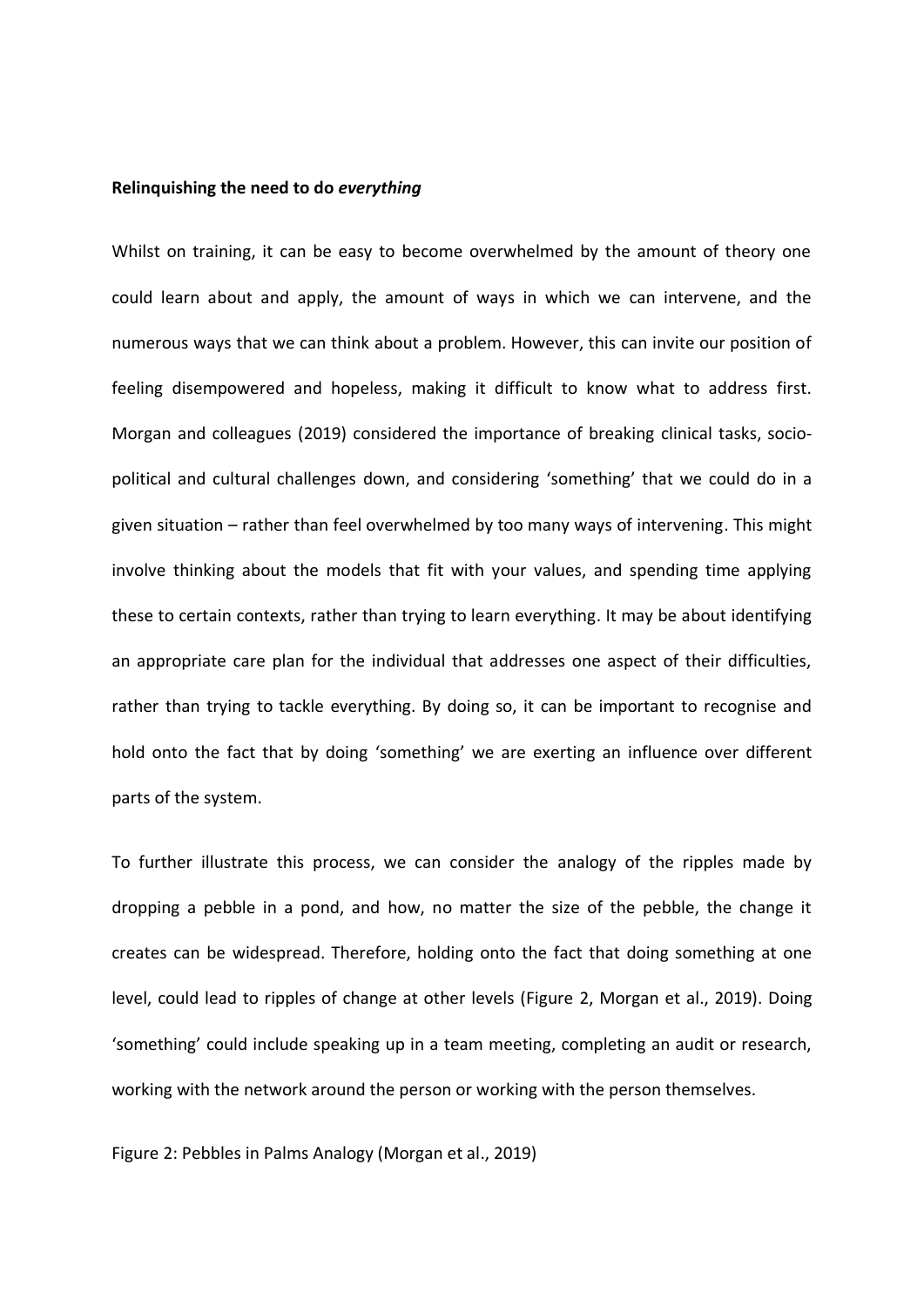#### **Relinquishing the need to do** *everything*

Whilst on training, it can be easy to become overwhelmed by the amount of theory one could learn about and apply, the amount of ways in which we can intervene, and the numerous ways that we can think about a problem. However, this can invite our position of feeling disempowered and hopeless, making it difficult to know what to address first. Morgan and colleagues (2019) considered the importance of breaking clinical tasks, sociopolitical and cultural challenges down, and considering 'something' that we could do in a given situation – rather than feel overwhelmed by too many ways of intervening. This might involve thinking about the models that fit with your values, and spending time applying these to certain contexts, rather than trying to learn everything. It may be about identifying an appropriate care plan for the individual that addresses one aspect of their difficulties, rather than trying to tackle everything. By doing so, it can be important to recognise and hold onto the fact that by doing 'something' we are exerting an influence over different parts of the system.

To further illustrate this process, we can consider the analogy of the ripples made by dropping a pebble in a pond, and how, no matter the size of the pebble, the change it creates can be widespread. Therefore, holding onto the fact that doing something at one level, could lead to ripples of change at other levels (Figure 2, Morgan et al., 2019). Doing 'something' could include speaking up in a team meeting, completing an audit or research, working with the network around the person or working with the person themselves.

Figure 2: Pebbles in Palms Analogy (Morgan et al., 2019)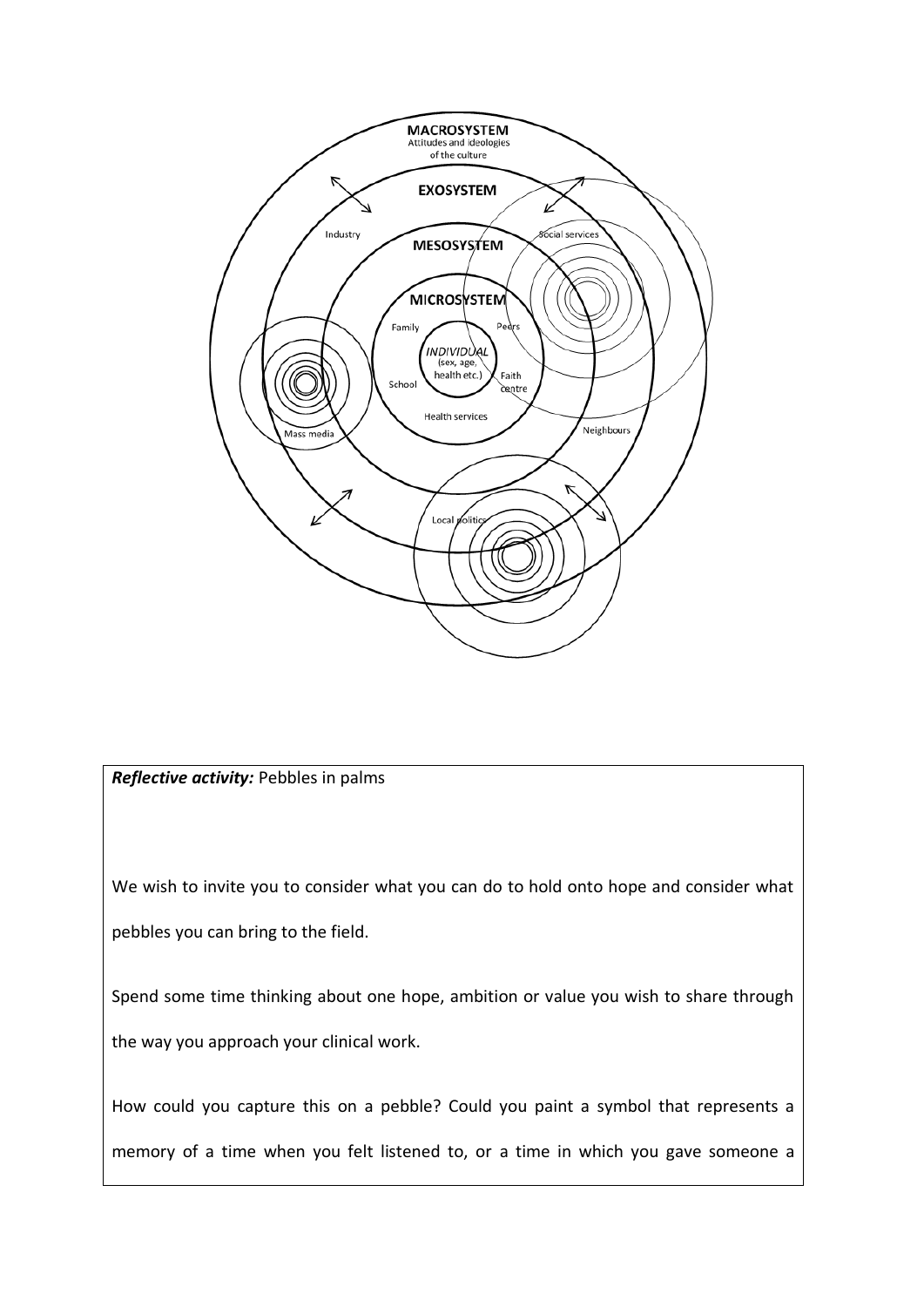

*Reflective activity:* Pebbles in palms

We wish to invite you to consider what you can do to hold onto hope and consider what pebbles you can bring to the field.

Spend some time thinking about one hope, ambition or value you wish to share through the way you approach your clinical work.

How could you capture this on a pebble? Could you paint a symbol that represents a memory of a time when you felt listened to, or a time in which you gave someone a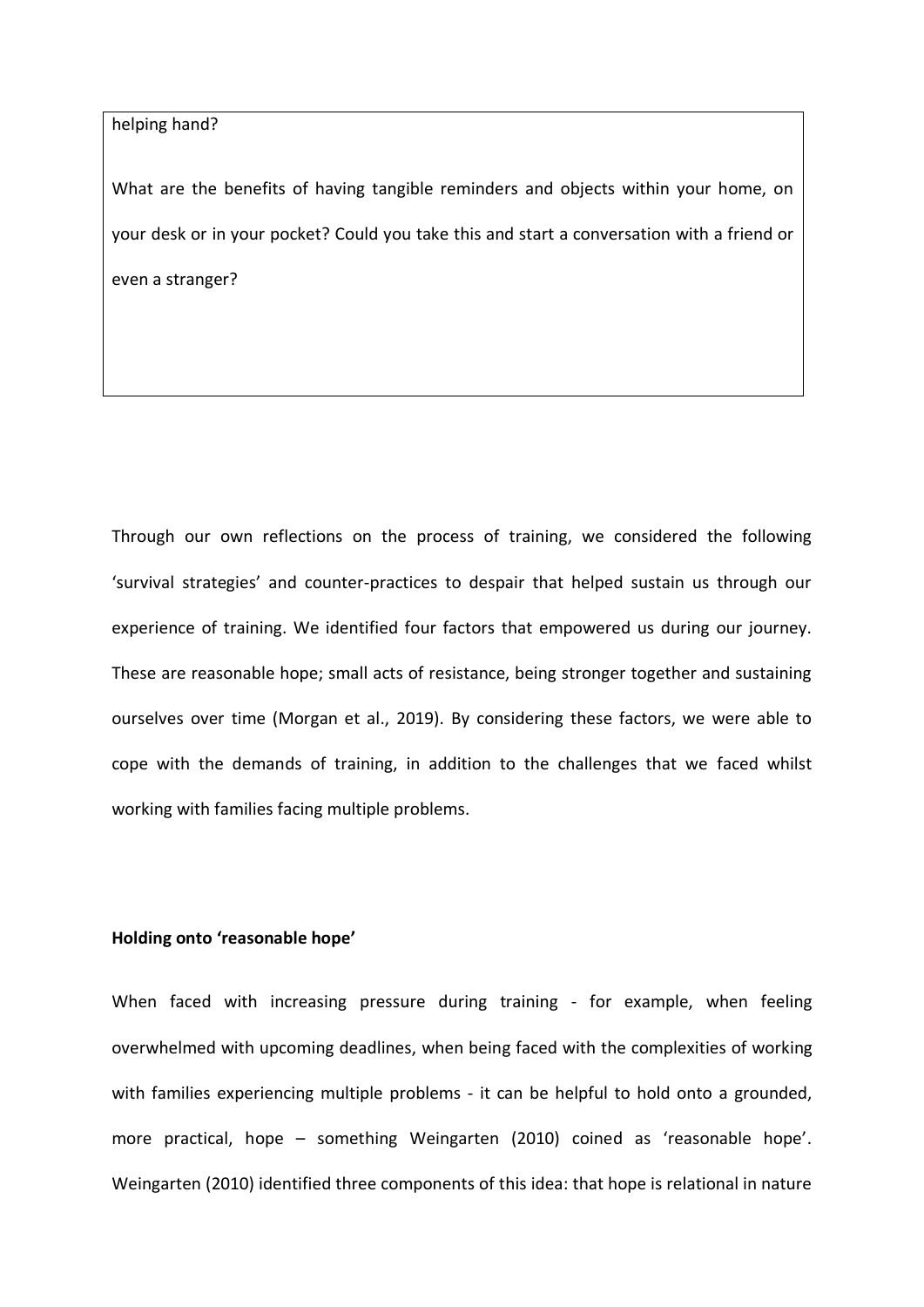helping hand?

What are the benefits of having tangible reminders and objects within your home, on your desk or in your pocket? Could you take this and start a conversation with a friend or even a stranger?

Through our own reflections on the process of training, we considered the following 'survival strategies' and counter-practices to despair that helped sustain us through our experience of training. We identified four factors that empowered us during our journey. These are reasonable hope; small acts of resistance, being stronger together and sustaining ourselves over time (Morgan et al., 2019). By considering these factors, we were able to cope with the demands of training, in addition to the challenges that we faced whilst working with families facing multiple problems.

## **Holding onto 'reasonable hope'**

When faced with increasing pressure during training - for example, when feeling overwhelmed with upcoming deadlines, when being faced with the complexities of working with families experiencing multiple problems - it can be helpful to hold onto a grounded, more practical, hope – something Weingarten (2010) coined as 'reasonable hope'. Weingarten (2010) identified three components of this idea: that hope is relational in nature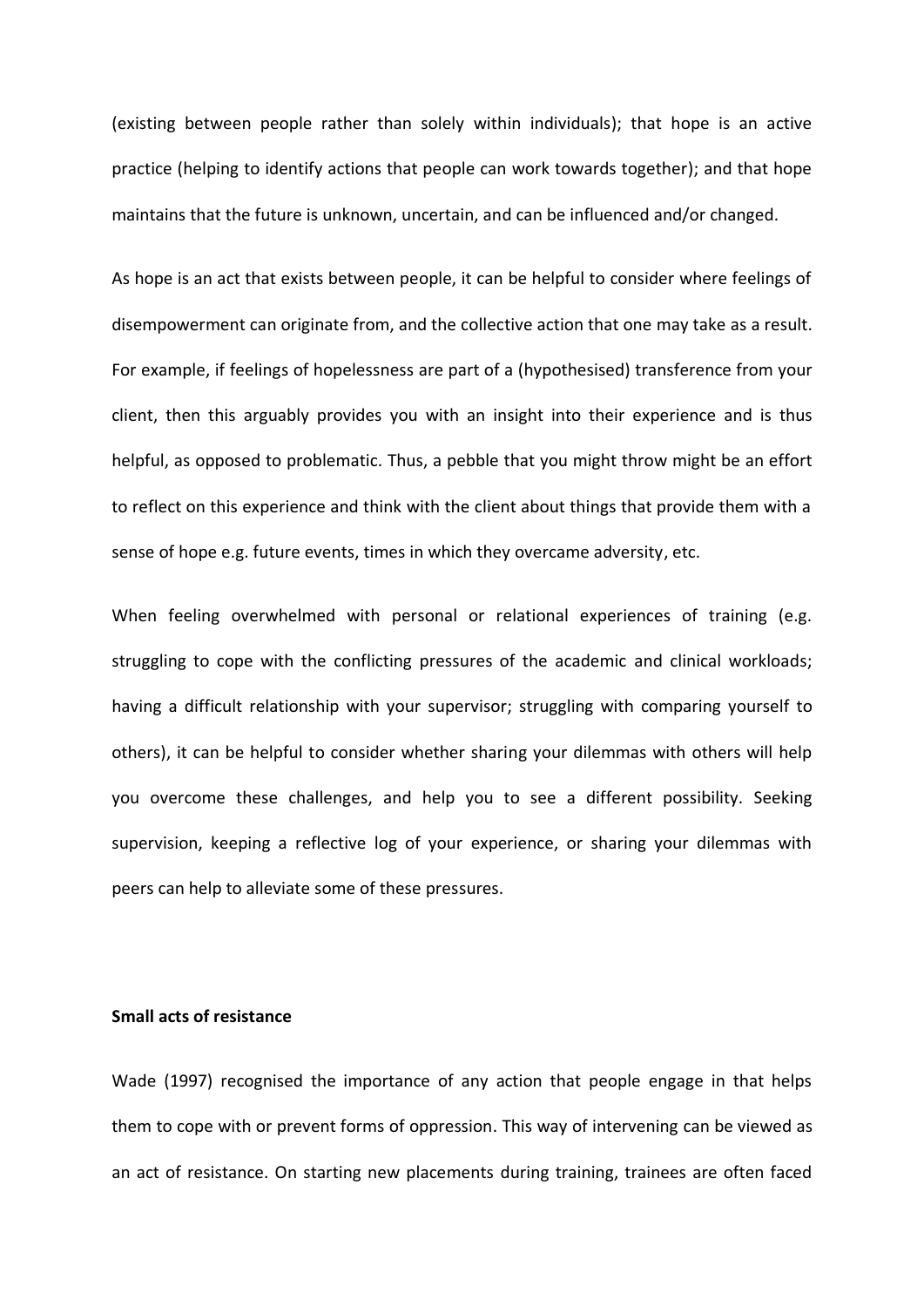(existing between people rather than solely within individuals); that hope is an active practice (helping to identify actions that people can work towards together); and that hope maintains that the future is unknown, uncertain, and can be influenced and/or changed.

As hope is an act that exists between people, it can be helpful to consider where feelings of disempowerment can originate from, and the collective action that one may take as a result. For example, if feelings of hopelessness are part of a (hypothesised) transference from your client, then this arguably provides you with an insight into their experience and is thus helpful, as opposed to problematic. Thus, a pebble that you might throw might be an effort to reflect on this experience and think with the client about things that provide them with a sense of hope e.g. future events, times in which they overcame adversity, etc.

When feeling overwhelmed with personal or relational experiences of training (e.g. struggling to cope with the conflicting pressures of the academic and clinical workloads; having a difficult relationship with your supervisor; struggling with comparing yourself to others), it can be helpful to consider whether sharing your dilemmas with others will help you overcome these challenges, and help you to see a different possibility. Seeking supervision, keeping a reflective log of your experience, or sharing your dilemmas with peers can help to alleviate some of these pressures.

# **Small acts of resistance**

Wade (1997) recognised the importance of any action that people engage in that helps them to cope with or prevent forms of oppression. This way of intervening can be viewed as an act of resistance. On starting new placements during training, trainees are often faced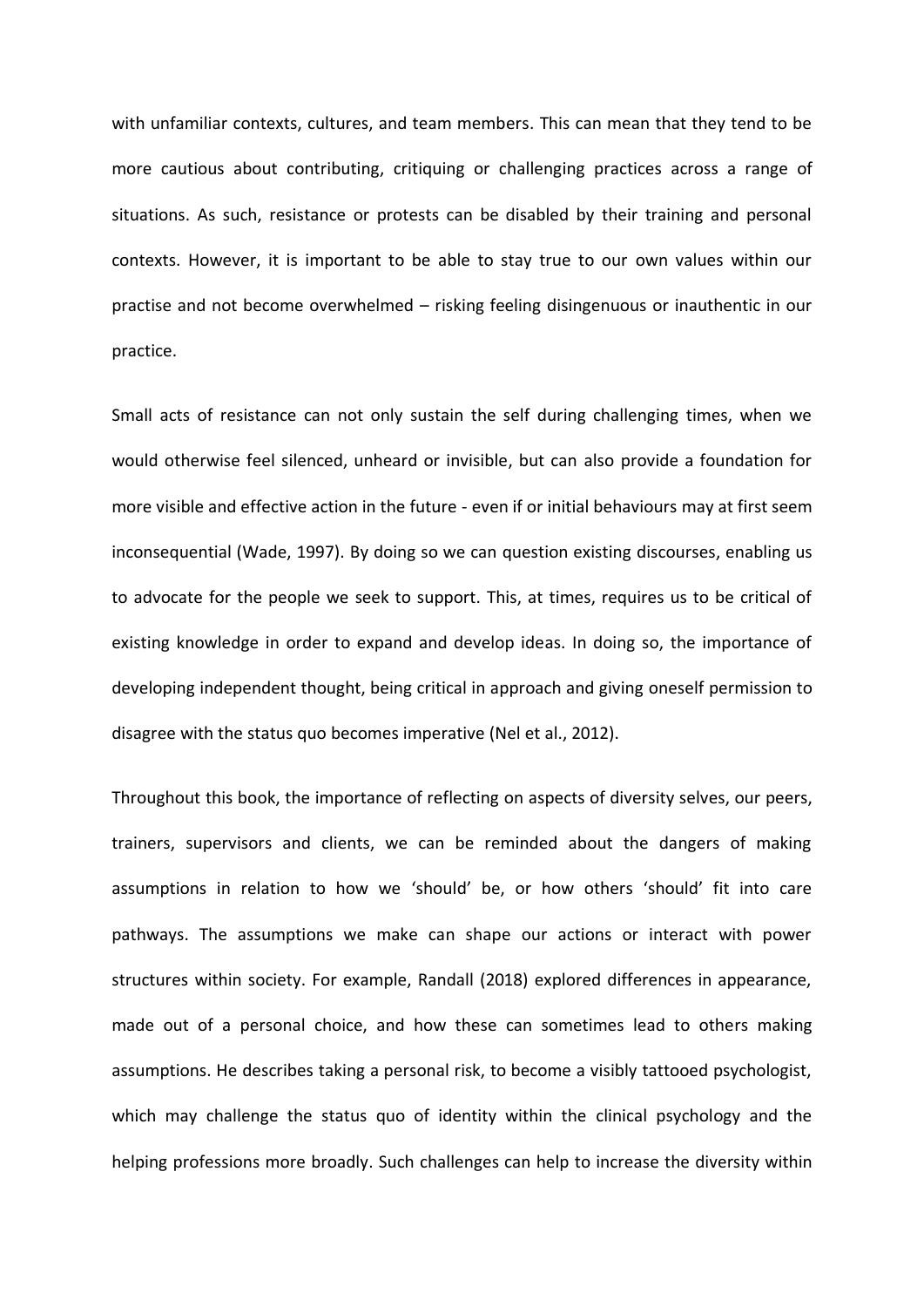with unfamiliar contexts, cultures, and team members. This can mean that they tend to be more cautious about contributing, critiquing or challenging practices across a range of situations. As such, resistance or protests can be disabled by their training and personal contexts. However, it is important to be able to stay true to our own values within our practise and not become overwhelmed – risking feeling disingenuous or inauthentic in our practice.

Small acts of resistance can not only sustain the self during challenging times, when we would otherwise feel silenced, unheard or invisible, but can also provide a foundation for more visible and effective action in the future - even if or initial behaviours may at first seem inconsequential (Wade, 1997). By doing so we can question existing discourses, enabling us to advocate for the people we seek to support. This, at times, requires us to be critical of existing knowledge in order to expand and develop ideas. In doing so, the importance of developing independent thought, being critical in approach and giving oneself permission to disagree with the status quo becomes imperative (Nel et al., 2012).

Throughout this book, the importance of reflecting on aspects of diversity selves, our peers, trainers, supervisors and clients, we can be reminded about the dangers of making assumptions in relation to how we 'should' be, or how others 'should' fit into care pathways. The assumptions we make can shape our actions or interact with power structures within society. For example, Randall (2018) explored differences in appearance, made out of a personal choice, and how these can sometimes lead to others making assumptions. He describes taking a personal risk, to become a visibly tattooed psychologist, which may challenge the status quo of identity within the clinical psychology and the helping professions more broadly. Such challenges can help to increase the diversity within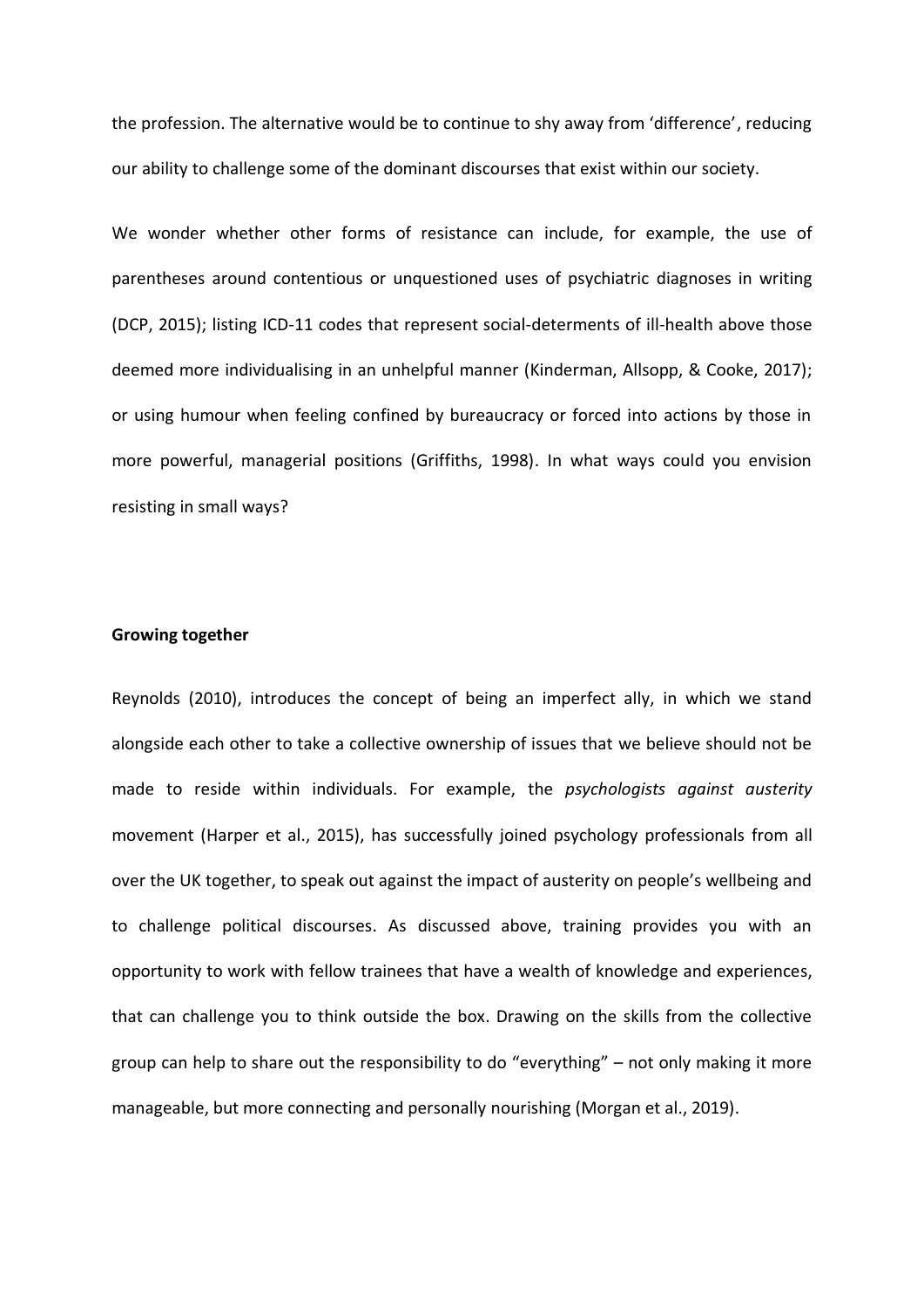the profession. The alternative would be to continue to shy away from 'difference', reducing our ability to challenge some of the dominant discourses that exist within our society.

We wonder whether other forms of resistance can include, for example, the use of parentheses around contentious or unquestioned uses of psychiatric diagnoses in writing (DCP, 2015); listing ICD-11 codes that represent social-determents of ill-health above those deemed more individualising in an unhelpful manner (Kinderman, Allsopp, & Cooke, 2017); or using humour when feeling confined by bureaucracy or forced into actions by those in more powerful, managerial positions (Griffiths, 1998). In what ways could you envision resisting in small ways?

#### **Growing together**

Reynolds (2010), introduces the concept of being an imperfect ally, in which we stand alongside each other to take a collective ownership of issues that we believe should not be made to reside within individuals. For example, the *psychologists against austerity* movement (Harper et al., 2015), has successfully joined psychology professionals from all over the UK together, to speak out against the impact of austerity on people's wellbeing and to challenge political discourses. As discussed above, training provides you with an opportunity to work with fellow trainees that have a wealth of knowledge and experiences, that can challenge you to think outside the box. Drawing on the skills from the collective group can help to share out the responsibility to do "everything" – not only making it more manageable, but more connecting and personally nourishing (Morgan et al., 2019).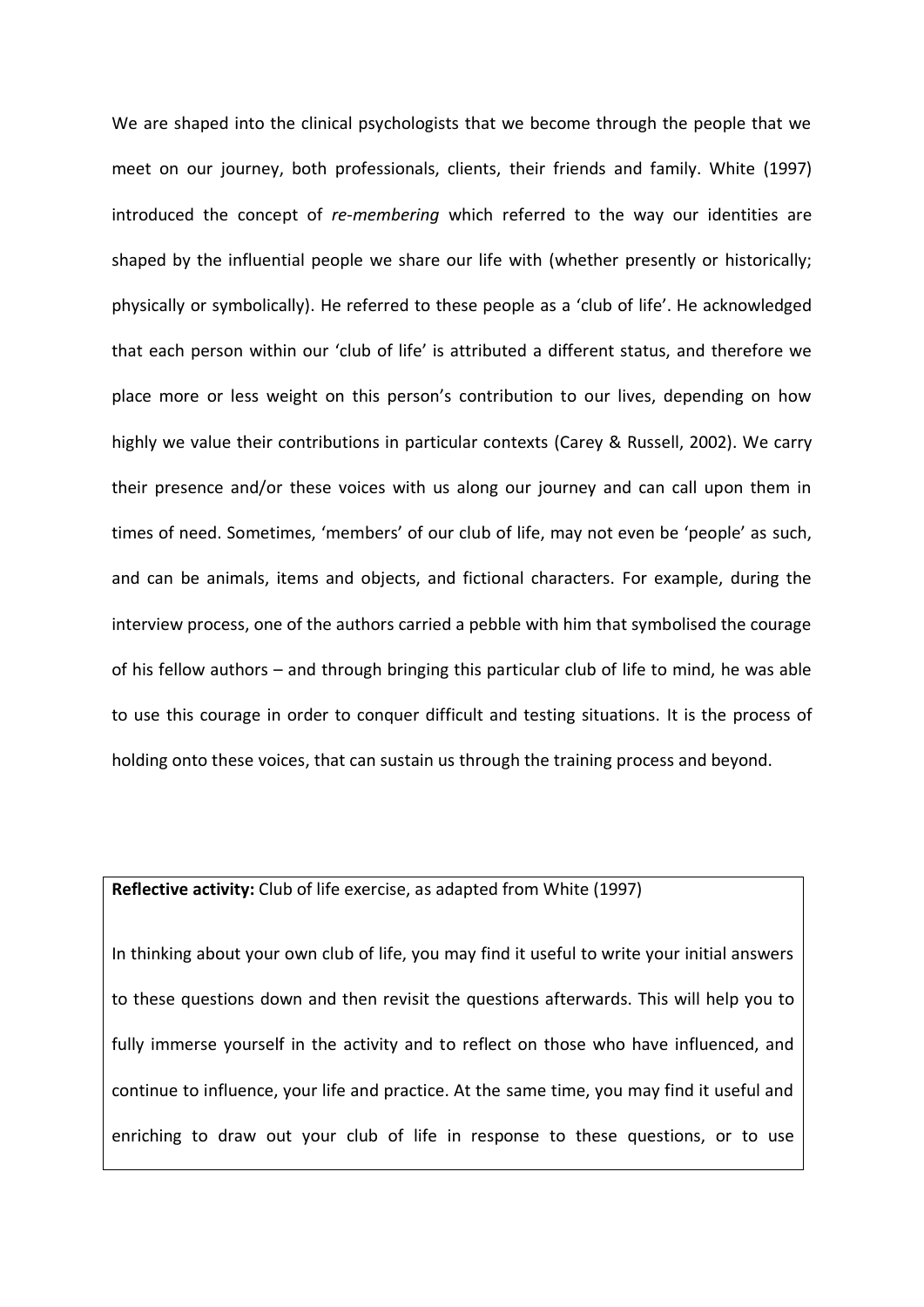We are shaped into the clinical psychologists that we become through the people that we meet on our journey, both professionals, clients, their friends and family. White (1997) introduced the concept of *re*-*membering* which referred to the way our identities are shaped by the influential people we share our life with (whether presently or historically; physically or symbolically). He referred to these people as a 'club of life'. He acknowledged that each person within our 'club of life' is attributed a different status, and therefore we place more or less weight on this person's contribution to our lives, depending on how highly we value their contributions in particular contexts (Carey & Russell, 2002). We carry their presence and/or these voices with us along our journey and can call upon them in times of need. Sometimes, 'members' of our club of life, may not even be 'people' as such, and can be animals, items and objects, and fictional characters. For example, during the interview process, one of the authors carried a pebble with him that symbolised the courage of his fellow authors – and through bringing this particular club of life to mind, he was able to use this courage in order to conquer difficult and testing situations. It is the process of holding onto these voices, that can sustain us through the training process and beyond.

## **Reflective activity:** Club of life exercise, as adapted from White (1997)

In thinking about your own club of life, you may find it useful to write your initial answers to these questions down and then revisit the questions afterwards. This will help you to fully immerse yourself in the activity and to reflect on those who have influenced, and continue to influence, your life and practice. At the same time, you may find it useful and enriching to draw out your club of life in response to these questions, or to use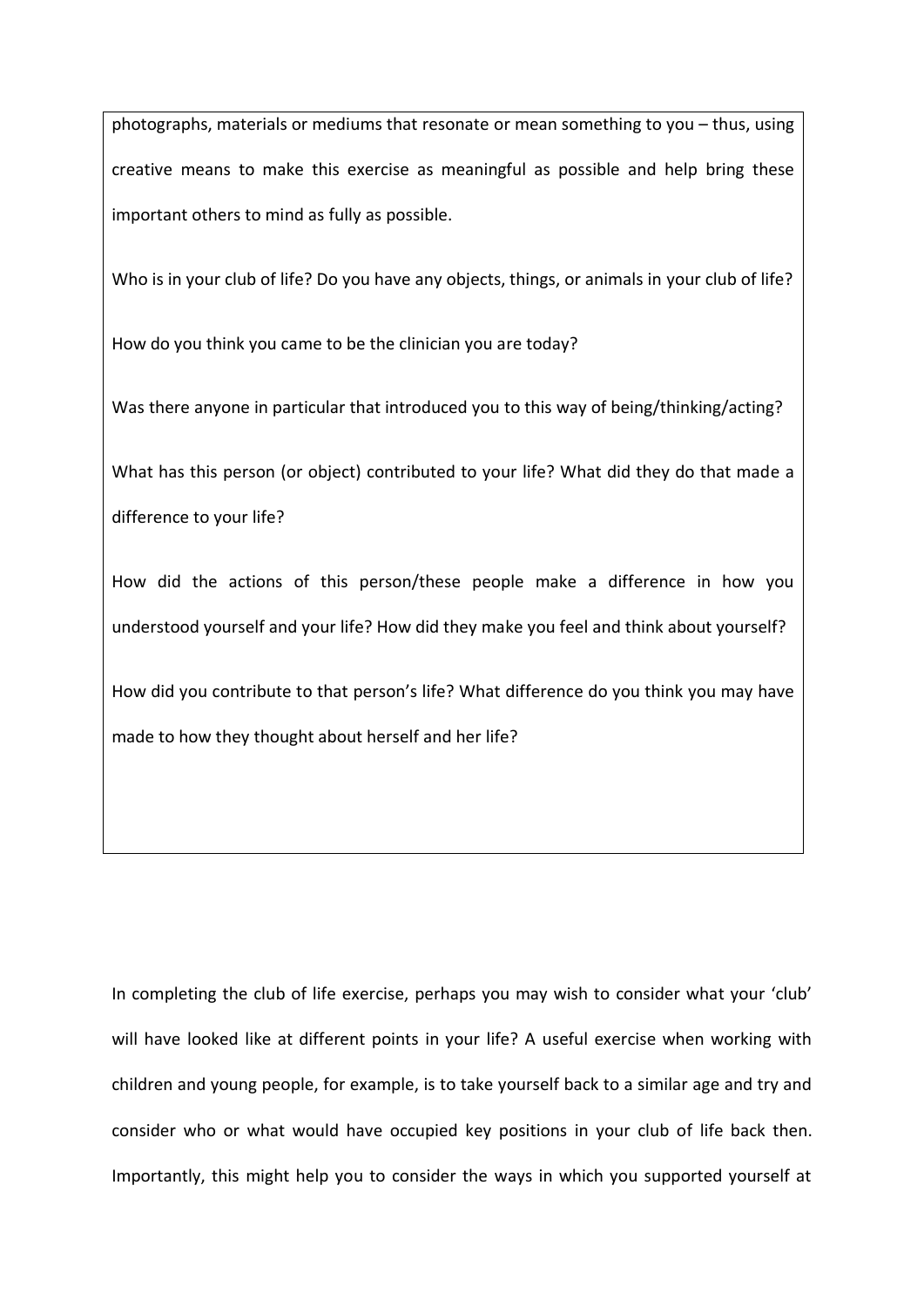photographs, materials or mediums that resonate or mean something to you – thus, using creative means to make this exercise as meaningful as possible and help bring these important others to mind as fully as possible.

Who is in your club of life? Do you have any objects, things, or animals in your club of life?

How do you think you came to be the clinician you are today?

Was there anyone in particular that introduced you to this way of being/thinking/acting?

What has this person (or object) contributed to your life? What did they do that made a difference to your life?

How did the actions of this person/these people make a difference in how you understood yourself and your life? How did they make you feel and think about yourself?

How did you contribute to that person's life? What difference do you think you may have made to how they thought about herself and her life?

In completing the club of life exercise, perhaps you may wish to consider what your 'club' will have looked like at different points in your life? A useful exercise when working with children and young people, for example, is to take yourself back to a similar age and try and consider who or what would have occupied key positions in your club of life back then. Importantly, this might help you to consider the ways in which you supported yourself at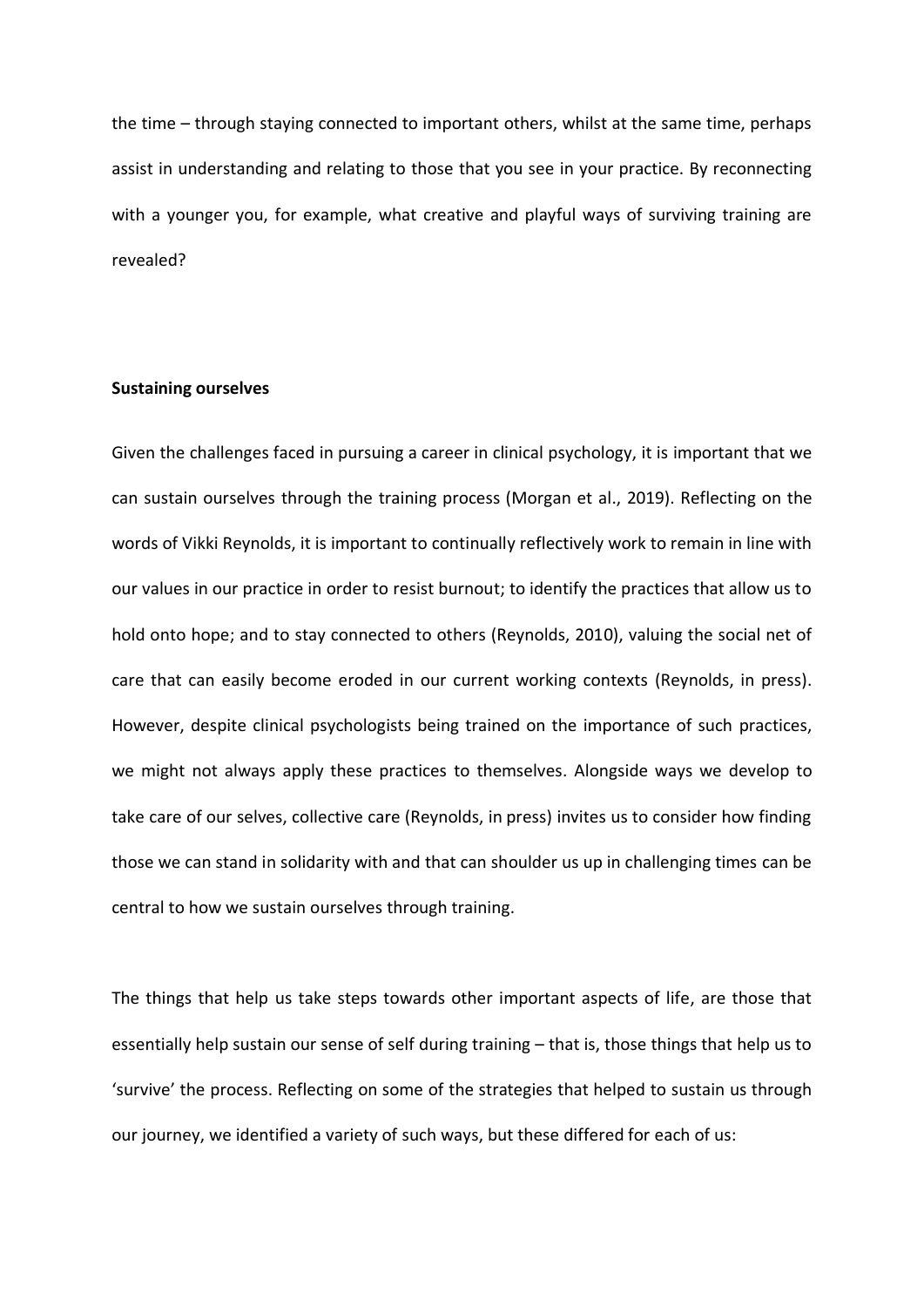the time – through staying connected to important others, whilst at the same time, perhaps assist in understanding and relating to those that you see in your practice. By reconnecting with a younger you, for example, what creative and playful ways of surviving training are revealed?

## **Sustaining ourselves**

Given the challenges faced in pursuing a career in clinical psychology, it is important that we can sustain ourselves through the training process (Morgan et al., 2019). Reflecting on the words of Vikki Reynolds, it is important to continually reflectively work to remain in line with our values in our practice in order to resist burnout; to identify the practices that allow us to hold onto hope; and to stay connected to others (Reynolds, 2010), valuing the social net of care that can easily become eroded in our current working contexts (Reynolds, in press). However, despite clinical psychologists being trained on the importance of such practices, we might not always apply these practices to themselves. Alongside ways we develop to take care of our selves, collective care (Reynolds, in press) invites us to consider how finding those we can stand in solidarity with and that can shoulder us up in challenging times can be central to how we sustain ourselves through training.

The things that help us take steps towards other important aspects of life, are those that essentially help sustain our sense of self during training – that is, those things that help us to 'survive' the process. Reflecting on some of the strategies that helped to sustain us through our journey, we identified a variety of such ways, but these differed for each of us: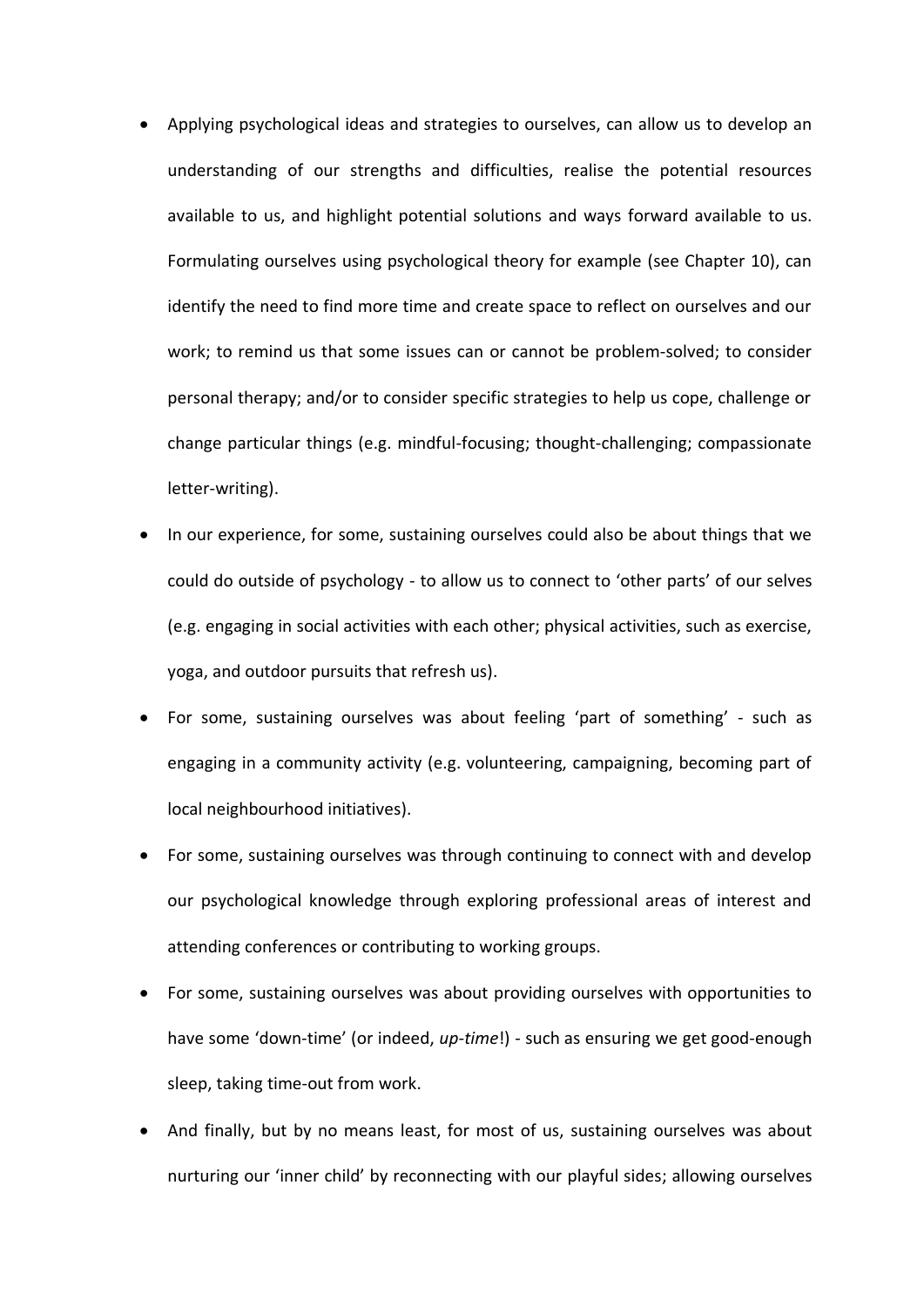- Applying psychological ideas and strategies to ourselves, can allow us to develop an understanding of our strengths and difficulties, realise the potential resources available to us, and highlight potential solutions and ways forward available to us. Formulating ourselves using psychological theory for example (see Chapter 10), can identify the need to find more time and create space to reflect on ourselves and our work; to remind us that some issues can or cannot be problem-solved; to consider personal therapy; and/or to consider specific strategies to help us cope, challenge or change particular things (e.g. mindful-focusing; thought-challenging; compassionate letter-writing).
- In our experience, for some, sustaining ourselves could also be about things that we could do outside of psychology - to allow us to connect to 'other parts' of our selves (e.g. engaging in social activities with each other; physical activities, such as exercise, yoga, and outdoor pursuits that refresh us).
- For some, sustaining ourselves was about feeling 'part of something' such as engaging in a community activity (e.g. volunteering, campaigning, becoming part of local neighbourhood initiatives).
- For some, sustaining ourselves was through continuing to connect with and develop our psychological knowledge through exploring professional areas of interest and attending conferences or contributing to working groups.
- For some, sustaining ourselves was about providing ourselves with opportunities to have some 'down-time' (or indeed, *up-time*!) - such as ensuring we get good-enough sleep, taking time-out from work.
- And finally, but by no means least, for most of us, sustaining ourselves was about nurturing our 'inner child' by reconnecting with our playful sides; allowing ourselves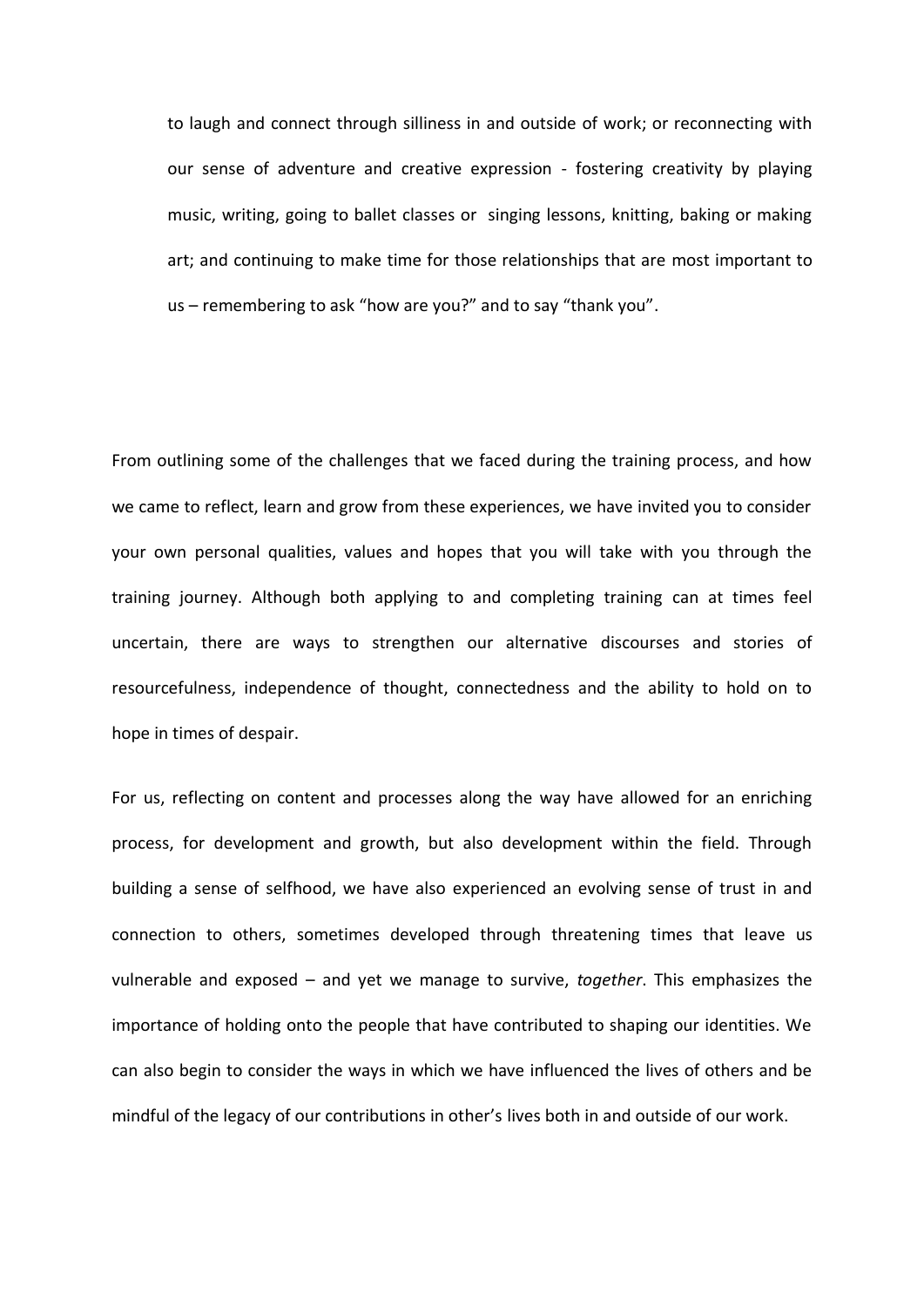to laugh and connect through silliness in and outside of work; or reconnecting with our sense of adventure and creative expression - fostering creativity by playing music, writing, going to ballet classes or singing lessons, knitting, baking or making art; and continuing to make time for those relationships that are most important to us – remembering to ask "how are you?" and to say "thank you".

From outlining some of the challenges that we faced during the training process, and how we came to reflect, learn and grow from these experiences, we have invited you to consider your own personal qualities, values and hopes that you will take with you through the training journey. Although both applying to and completing training can at times feel uncertain, there are ways to strengthen our alternative discourses and stories of resourcefulness, independence of thought, connectedness and the ability to hold on to hope in times of despair.

For us, reflecting on content and processes along the way have allowed for an enriching process, for development and growth, but also development within the field. Through building a sense of selfhood, we have also experienced an evolving sense of trust in and connection to others, sometimes developed through threatening times that leave us vulnerable and exposed – and yet we manage to survive, *together*. This emphasizes the importance of holding onto the people that have contributed to shaping our identities. We can also begin to consider the ways in which we have influenced the lives of others and be mindful of the legacy of our contributions in other's lives both in and outside of our work.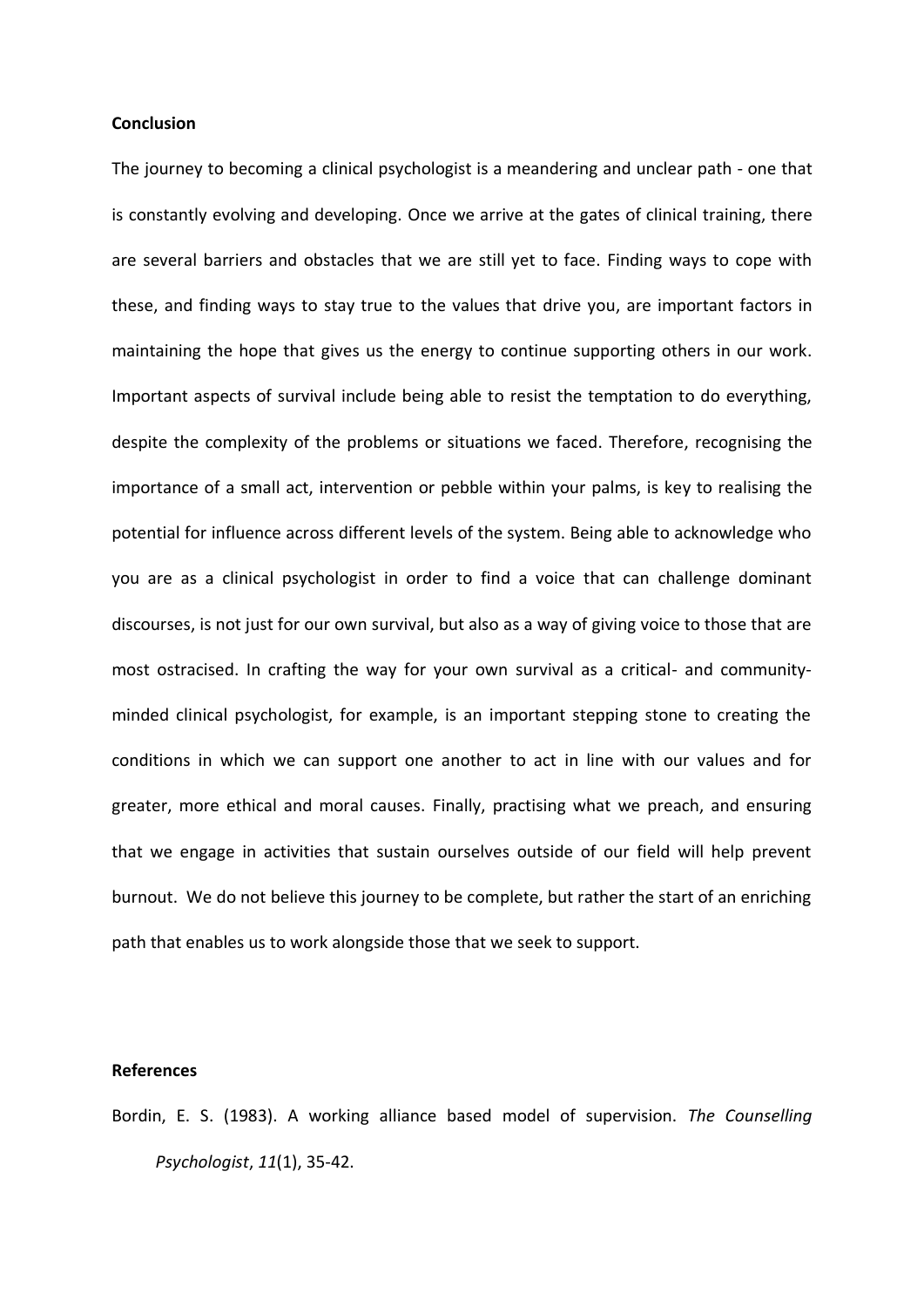## **Conclusion**

The journey to becoming a clinical psychologist is a meandering and unclear path - one that is constantly evolving and developing. Once we arrive at the gates of clinical training, there are several barriers and obstacles that we are still yet to face. Finding ways to cope with these, and finding ways to stay true to the values that drive you, are important factors in maintaining the hope that gives us the energy to continue supporting others in our work. Important aspects of survival include being able to resist the temptation to do everything, despite the complexity of the problems or situations we faced. Therefore, recognising the importance of a small act, intervention or pebble within your palms, is key to realising the potential for influence across different levels of the system. Being able to acknowledge who you are as a clinical psychologist in order to find a voice that can challenge dominant discourses, is not just for our own survival, but also as a way of giving voice to those that are most ostracised. In crafting the way for your own survival as a critical- and communityminded clinical psychologist, for example, is an important stepping stone to creating the conditions in which we can support one another to act in line with our values and for greater, more ethical and moral causes. Finally, practising what we preach, and ensuring that we engage in activities that sustain ourselves outside of our field will help prevent burnout. We do not believe this journey to be complete, but rather the start of an enriching path that enables us to work alongside those that we seek to support.

#### **References**

Bordin, E. S. (1983). A working alliance based model of supervision. *The Counselling Psychologist*, *11*(1), 35-42.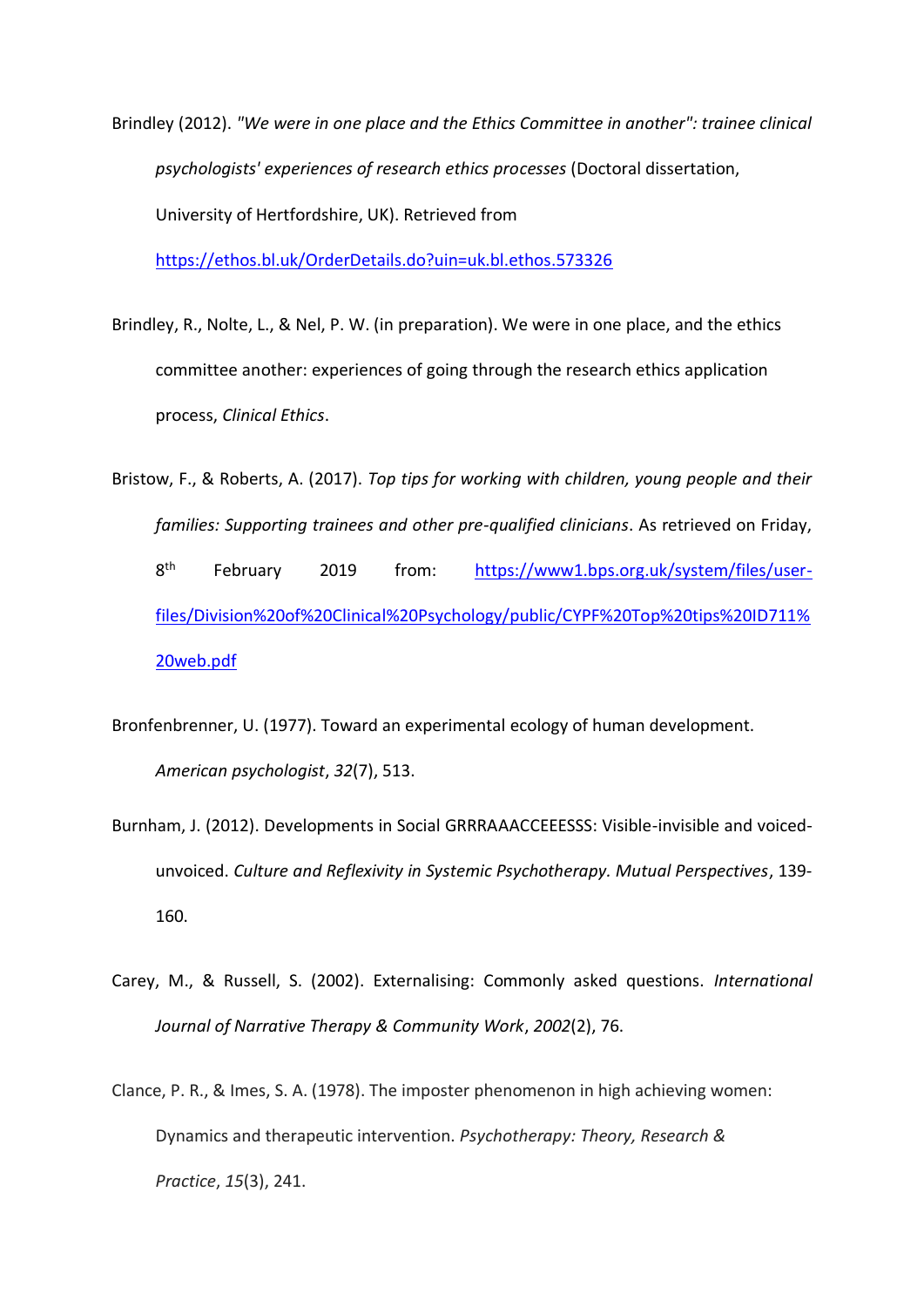Brindley (2012). *"We were in one place and the Ethics Committee in another": trainee clinical psychologists' experiences of research ethics processes* (Doctoral dissertation, University of Hertfordshire, UK). Retrieved from

<https://ethos.bl.uk/OrderDetails.do?uin=uk.bl.ethos.573326>

- Brindley, R., Nolte, L., & Nel, P. W. (in preparation). We were in one place, and the ethics committee another: experiences of going through the research ethics application process, *Clinical Ethics*.
- Bristow, F., & Roberts, A. (2017). *Top tips for working with children, young people and their families: Supporting trainees and other pre-qualified clinicians*. As retrieved on Friday, 8<sup>th</sup> th February 2019 from: [https://www1.bps.org.uk/system/files/user](https://www1.bps.org.uk/system/files/user-files/Division%20of%20Clinical%20Psychology/public/CYPF%20Top%20tips%20ID711%20web.pdf)[files/Division%20of%20Clinical%20Psychology/public/CYPF%20Top%20tips%20ID711%](https://www1.bps.org.uk/system/files/user-files/Division%20of%20Clinical%20Psychology/public/CYPF%20Top%20tips%20ID711%20web.pdf) [20web.pdf](https://www1.bps.org.uk/system/files/user-files/Division%20of%20Clinical%20Psychology/public/CYPF%20Top%20tips%20ID711%20web.pdf)
- Bronfenbrenner, U. (1977). Toward an experimental ecology of human development. *American psychologist*, *32*(7), 513.
- Burnham, J. (2012). Developments in Social GRRRAAACCEEESSS: Visible-invisible and voicedunvoiced. *Culture and Reflexivity in Systemic Psychotherapy. Mutual Perspectives*, 139- 160.
- Carey, M., & Russell, S. (2002). Externalising: Commonly asked questions. *International Journal of Narrative Therapy & Community Work*, *2002*(2), 76.
- Clance, P. R., & Imes, S. A. (1978). The imposter phenomenon in high achieving women: Dynamics and therapeutic intervention. *Psychotherapy: Theory, Research & Practice*, *15*(3), 241.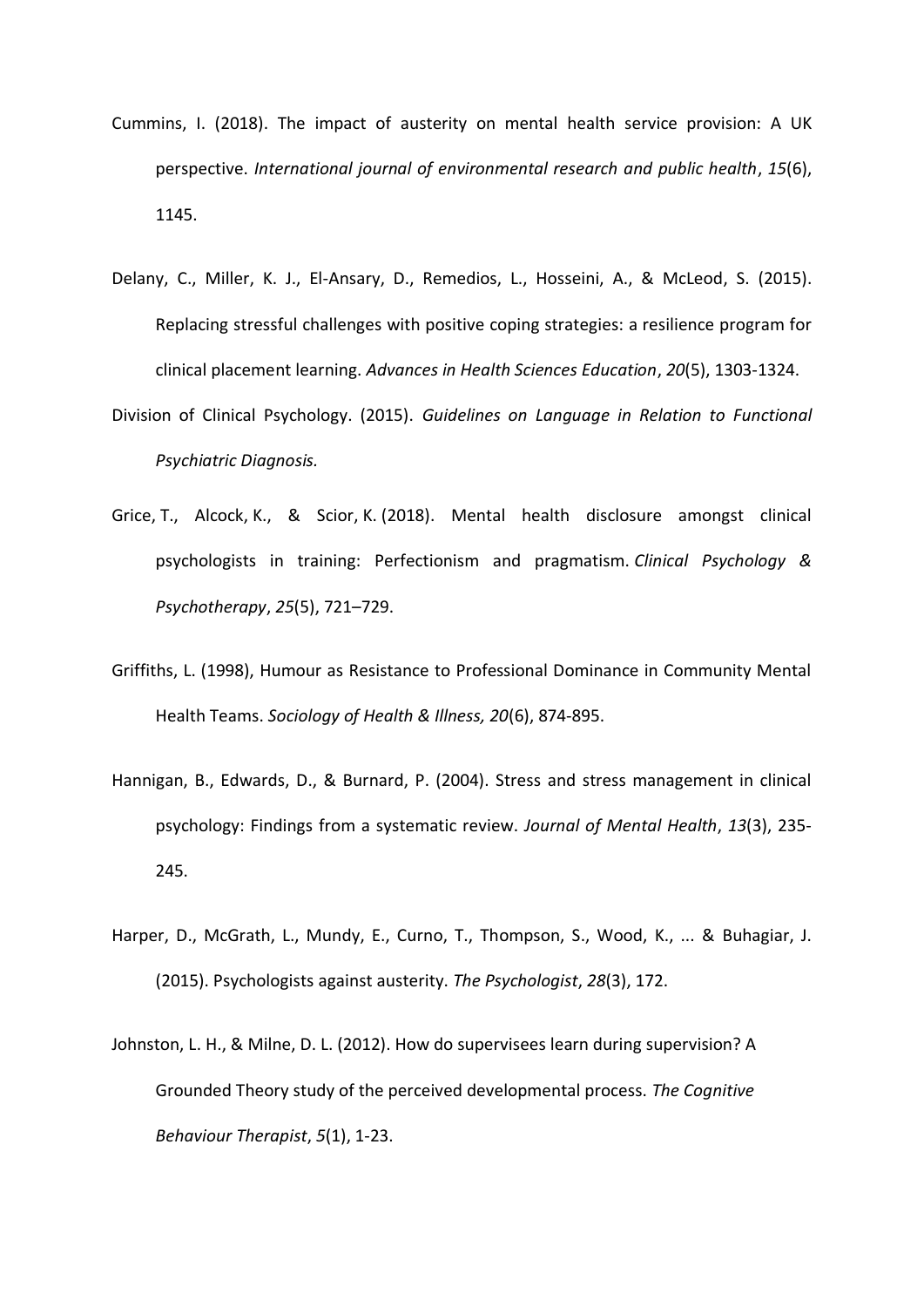- Cummins, I. (2018). The impact of austerity on mental health service provision: A UK perspective. *International journal of environmental research and public health*, *15*(6), 1145.
- Delany, C., Miller, K. J., El-Ansary, D., Remedios, L., Hosseini, A., & McLeod, S. (2015). Replacing stressful challenges with positive coping strategies: a resilience program for clinical placement learning. *Advances in Health Sciences Education*, *20*(5), 1303-1324.
- Division of Clinical Psychology. (2015). *Guidelines on Language in Relation to Functional Psychiatric Diagnosis.*
- Grice, T., Alcock, K., & Scior, K. (2018). Mental health disclosure amongst clinical psychologists in training: Perfectionism and pragmatism. *Clinical Psychology & Psychotherapy*, *25*(5), 721–729.
- Griffiths, L. (1998), Humour as Resistance to Professional Dominance in Community Mental Health Teams. *Sociology of Health & Illness, 20*(6), 874-895.
- Hannigan, B., Edwards, D., & Burnard, P. (2004). Stress and stress management in clinical psychology: Findings from a systematic review. *Journal of Mental Health*, *13*(3), 235- 245.
- Harper, D., McGrath, L., Mundy, E., Curno, T., Thompson, S., Wood, K., ... & Buhagiar, J. (2015). Psychologists against austerity. *The Psychologist*, *28*(3), 172.
- Johnston, L. H., & Milne, D. L. (2012). How do supervisees learn during supervision? A Grounded Theory study of the perceived developmental process. *The Cognitive Behaviour Therapist*, *5*(1), 1-23.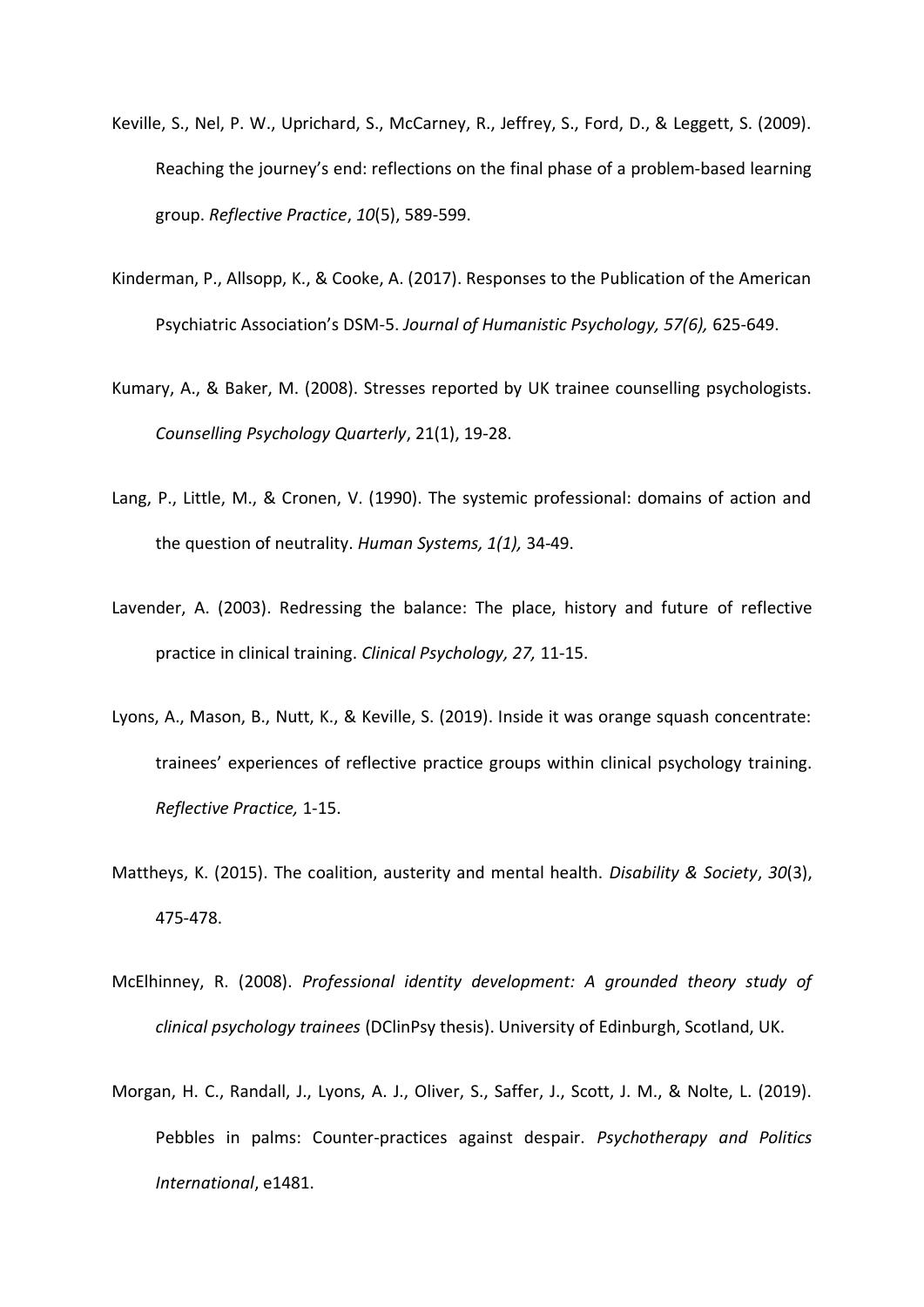- Keville, S., Nel, P. W., Uprichard, S., McCarney, R., Jeffrey, S., Ford, D., & Leggett, S. (2009). Reaching the journey's end: reflections on the final phase of a problem-based learning group. *Reflective Practice*, *10*(5), 589-599.
- Kinderman, P., Allsopp, K., & Cooke, A. (2017). Responses to the Publication of the American Psychiatric Association's DSM-5. *Journal of Humanistic Psychology, 57(6),* 625-649.
- Kumary, A., & Baker, M. (2008). Stresses reported by UK trainee counselling psychologists. *Counselling Psychology Quarterly*, 21(1), 19-28.
- Lang, P., Little, M., & Cronen, V. (1990). The systemic professional: domains of action and the question of neutrality. *Human Systems, 1(1),* 34-49.
- Lavender, A. (2003). Redressing the balance: The place, history and future of reflective practice in clinical training. *Clinical Psychology, 27,* 11-15.
- Lyons, A., Mason, B., Nutt, K., & Keville, S. (2019). Inside it was orange squash concentrate: trainees' experiences of reflective practice groups within clinical psychology training. *Reflective Practice,* 1-15.
- Mattheys, K. (2015). The coalition, austerity and mental health. *Disability & Society*, *30*(3), 475-478.
- McElhinney, R. (2008). *Professional identity development: A grounded theory study of clinical psychology trainees* (DClinPsy thesis). University of Edinburgh, Scotland, UK.
- Morgan, H. C., Randall, J., Lyons, A. J., Oliver, S., Saffer, J., Scott, J. M., & Nolte, L. (2019). Pebbles in palms: Counter‐practices against despair. *Psychotherapy and Politics International*, e1481.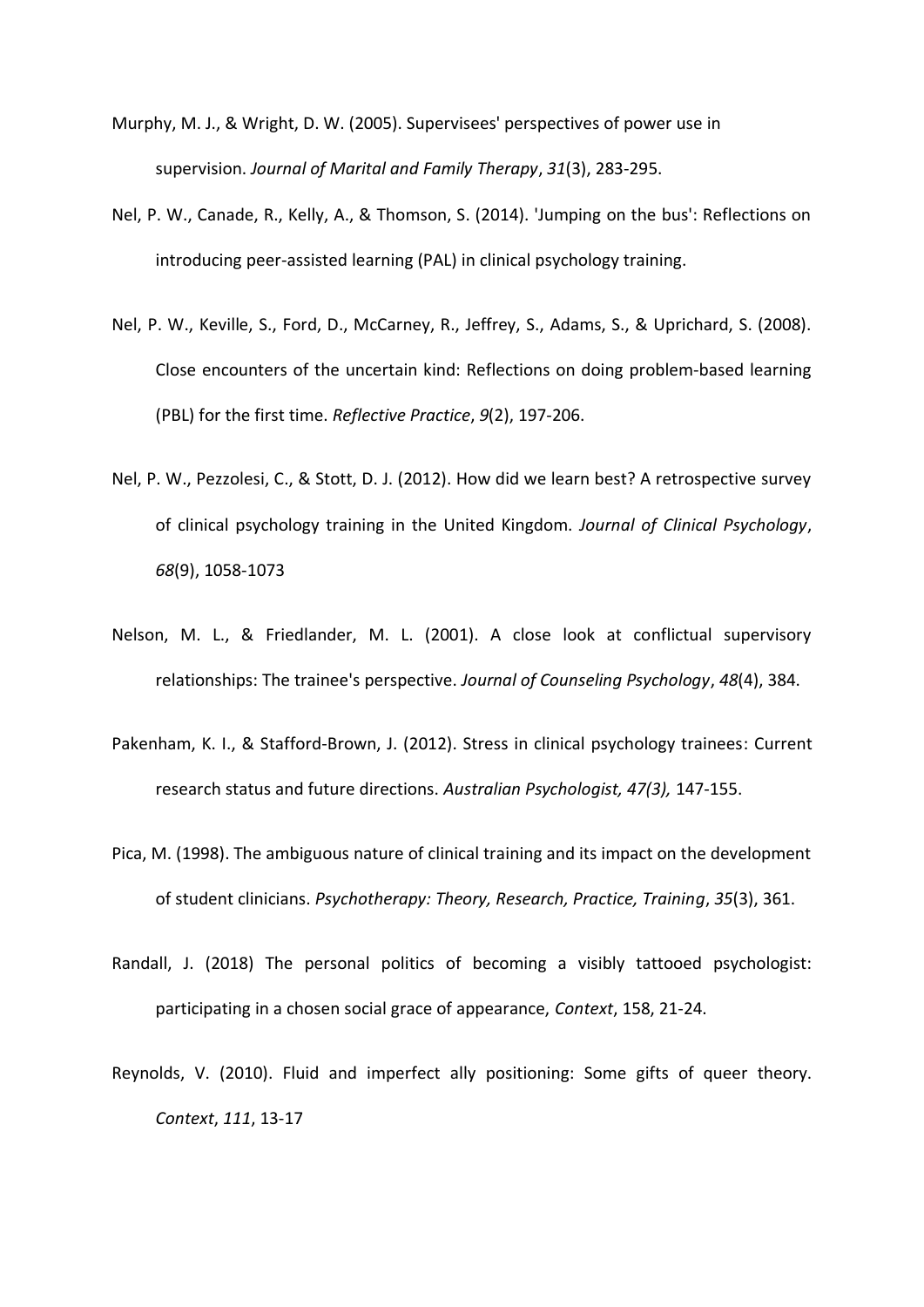- Murphy, M. J., & Wright, D. W. (2005). Supervisees' perspectives of power use in supervision. *Journal of Marital and Family Therapy*, *31*(3), 283-295.
- Nel, P. W., Canade, R., Kelly, A., & Thomson, S. (2014). 'Jumping on the bus': Reflections on introducing peer-assisted learning (PAL) in clinical psychology training.
- Nel, P. W., Keville, S., Ford, D., McCarney, R., Jeffrey, S., Adams, S., & Uprichard, S. (2008). Close encounters of the uncertain kind: Reflections on doing problem‐based learning (PBL) for the first time. *Reflective Practice*, *9*(2), 197-206.
- Nel, P. W., Pezzolesi, C., & Stott, D. J. (2012). How did we learn best? A retrospective survey of clinical psychology training in the United Kingdom. *Journal of Clinical Psychology*, *68*(9), 1058-1073
- Nelson, M. L., & Friedlander, M. L. (2001). A close look at conflictual supervisory relationships: The trainee's perspective. *Journal of Counseling Psychology*, *48*(4), 384.
- Pakenham, K. I., & Stafford‐Brown, J. (2012). Stress in clinical psychology trainees: Current research status and future directions. *Australian Psychologist, 47(3),* 147-155.
- Pica, M. (1998). The ambiguous nature of clinical training and its impact on the development of student clinicians. *Psychotherapy: Theory, Research, Practice, Training*, *35*(3), 361.
- Randall, J. (2018) The personal politics of becoming a visibly tattooed psychologist: participating in a chosen social grace of appearance, *Context*, 158, 21-24.
- Reynolds, V. (2010). Fluid and imperfect ally positioning: Some gifts of queer theory. *Context*, *111*, 13-17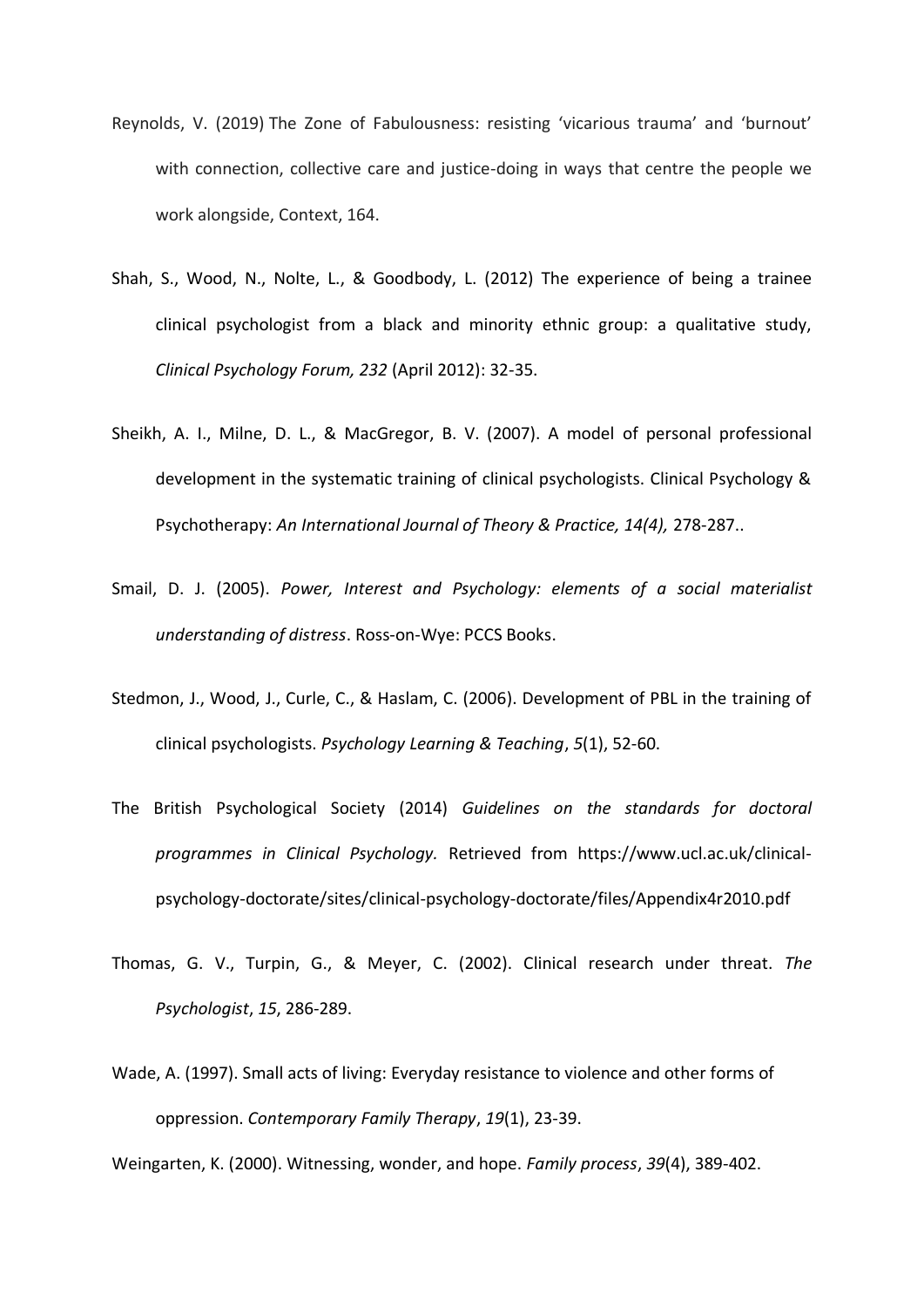- Reynolds, V. (2019) The Zone of Fabulousness: resisting 'vicarious trauma' and 'burnout' with connection, collective care and justice-doing in ways that centre the people we work alongside, Context, 164.
- Shah, S., Wood, N., Nolte, L., & Goodbody, L. (2012) The experience of being a trainee clinical psychologist from a black and minority ethnic group: a qualitative study, *Clinical Psychology Forum, 232* (April 2012): 32-35.
- Sheikh, A. I., Milne, D. L., & MacGregor, B. V. (2007). A model of personal professional development in the systematic training of clinical psychologists. Clinical Psychology & Psychotherapy: *An International Journal of Theory & Practice, 14(4),* 278-287..
- Smail, D. J. (2005). *Power, Interest and Psychology: elements of a social materialist understanding of distress*. Ross-on-Wye: PCCS Books.
- Stedmon, J., Wood, J., Curle, C., & Haslam, C. (2006). Development of PBL in the training of clinical psychologists. *Psychology Learning & Teaching*, *5*(1), 52-60.
- The British Psychological Society (2014) *Guidelines on the standards for doctoral programmes in Clinical Psychology.* Retrieved from https://www.ucl.ac.uk/clinicalpsychology-doctorate/sites/clinical-psychology-doctorate/files/Appendix4r2010.pdf
- Thomas, G. V., Turpin, G., & Meyer, C. (2002). Clinical research under threat. *The Psychologist*, *15*, 286-289.
- Wade, A. (1997). Small acts of living: Everyday resistance to violence and other forms of oppression. *Contemporary Family Therapy*, *19*(1), 23-39.

Weingarten, K. (2000). Witnessing, wonder, and hope. *Family process*, *39*(4), 389-402.